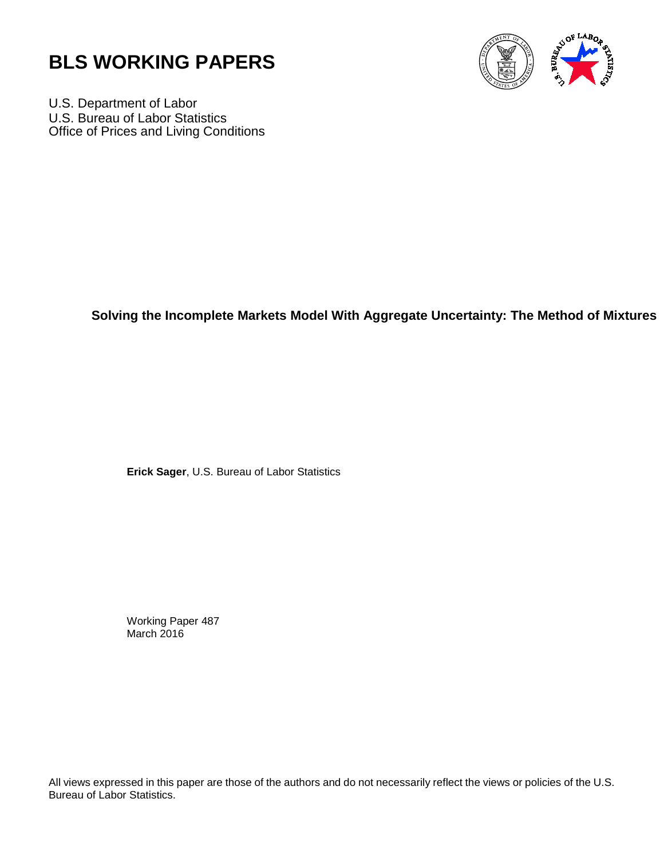



U.S. Department of Labor U.S. Bureau of Labor Statistics Office of Prices and Living Conditions

### **Solving the Incomplete Markets Model With Aggregate Uncertainty: The Method of Mixtures**

**Erick Sager**, U.S. Bureau of Labor Statistics

Working Paper 487 March 2016

All views expressed in this paper are those of the authors and do not necessarily reflect the views or policies of the U.S. Bureau of Labor Statistics.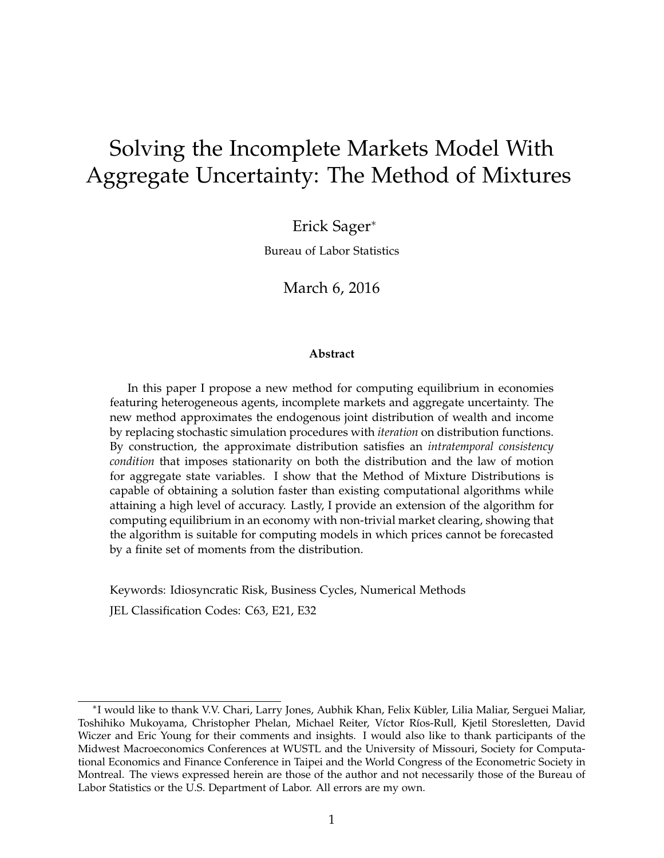# <span id="page-1-0"></span>Solving the Incomplete Markets Model With Aggregate Uncertainty: The Method of Mixtures

Erick Sager<sup>∗</sup>

Bureau of Labor Statistics

March 6, 2016

#### **Abstract**

In this paper I propose a new method for computing equilibrium in economies featuring heterogeneous agents, incomplete markets and aggregate uncertainty. The new method approximates the endogenous joint distribution of wealth and income by replacing stochastic simulation procedures with *iteration* on distribution functions. By construction, the approximate distribution satisfies an *intratemporal consistency condition* that imposes stationarity on both the distribution and the law of motion for aggregate state variables. I show that the Method of Mixture Distributions is capable of obtaining a solution faster than existing computational algorithms while attaining a high level of accuracy. Lastly, I provide an extension of the algorithm for computing equilibrium in an economy with non-trivial market clearing, showing that the algorithm is suitable for computing models in which prices cannot be forecasted by a finite set of moments from the distribution.

Keywords: Idiosyncratic Risk, Business Cycles, Numerical Methods JEL Classification Codes: C63, E21, E32

<sup>∗</sup> I would like to thank V.V. Chari, Larry Jones, Aubhik Khan, Felix Kübler, Lilia Maliar, Serguei Maliar, Toshihiko Mukoyama, Christopher Phelan, Michael Reiter, Víctor Ríos-Rull, Kjetil Storesletten, David Wiczer and Eric Young for their comments and insights. I would also like to thank participants of the Midwest Macroeconomics Conferences at WUSTL and the University of Missouri, Society for Computational Economics and Finance Conference in Taipei and the World Congress of the Econometric Society in Montreal. The views expressed herein are those of the author and not necessarily those of the Bureau of Labor Statistics or the U.S. Department of Labor. All errors are my own.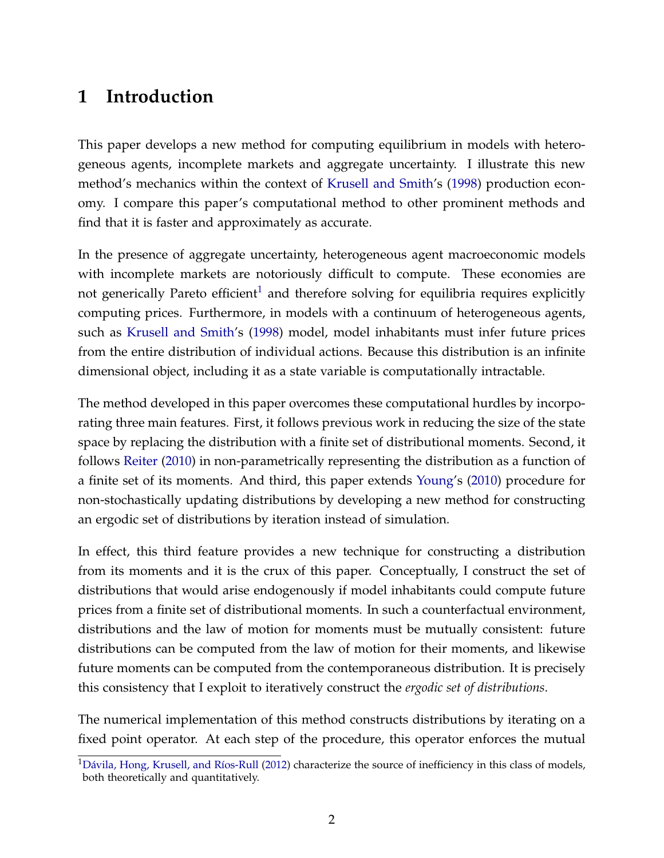## **1 Introduction**

This paper develops a new method for computing equilibrium in models with heterogeneous agents, incomplete markets and aggregate uncertainty. I illustrate this new method's mechanics within the context of [Krusell and Smith'](#page-28-0)s [\(1998\)](#page-28-0) production economy. I compare this paper's computational method to other prominent methods and find that it is faster and approximately as accurate.

In the presence of aggregate uncertainty, heterogeneous agent macroeconomic models with incomplete markets are notoriously difficult to compute. These economies are not generically Pareto efficient<sup>[1](#page-1-0)</sup> and therefore solving for equilibria requires explicitly computing prices. Furthermore, in models with a continuum of heterogeneous agents, such as [Krusell and Smith'](#page-28-0)s [\(1998\)](#page-28-0) model, model inhabitants must infer future prices from the entire distribution of individual actions. Because this distribution is an infinite dimensional object, including it as a state variable is computationally intractable.

The method developed in this paper overcomes these computational hurdles by incorporating three main features. First, it follows previous work in reducing the size of the state space by replacing the distribution with a finite set of distributional moments. Second, it follows [Reiter](#page-28-1) [\(2010\)](#page-28-1) in non-parametrically representing the distribution as a function of a finite set of its moments. And third, this paper extends [Young'](#page-29-0)s [\(2010\)](#page-29-0) procedure for non-stochastically updating distributions by developing a new method for constructing an ergodic set of distributions by iteration instead of simulation.

In effect, this third feature provides a new technique for constructing a distribution from its moments and it is the crux of this paper. Conceptually, I construct the set of distributions that would arise endogenously if model inhabitants could compute future prices from a finite set of distributional moments. In such a counterfactual environment, distributions and the law of motion for moments must be mutually consistent: future distributions can be computed from the law of motion for their moments, and likewise future moments can be computed from the contemporaneous distribution. It is precisely this consistency that I exploit to iteratively construct the *ergodic set of distributions*.

The numerical implementation of this method constructs distributions by iterating on a fixed point operator. At each step of the procedure, this operator enforces the mutual

<sup>&</sup>lt;sup>1</sup>[Dávila, Hong, Krusell, and Ríos-Rull](#page-27-0) [\(2012\)](#page-27-0) characterize the source of inefficiency in this class of models, both theoretically and quantitatively.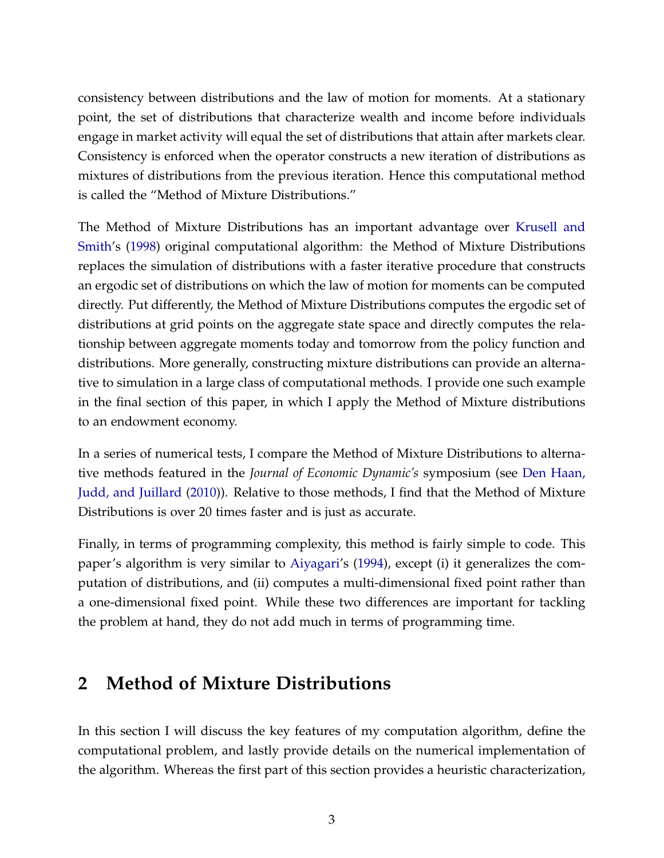consistency between distributions and the law of motion for moments. At a stationary point, the set of distributions that characterize wealth and income before individuals engage in market activity will equal the set of distributions that attain after markets clear. Consistency is enforced when the operator constructs a new iteration of distributions as mixtures of distributions from the previous iteration. Hence this computational method is called the "Method of Mixture Distributions."

The Method of Mixture Distributions has an important advantage over [Krusell and](#page-28-0) [Smith'](#page-28-0)s [\(1998\)](#page-28-0) original computational algorithm: the Method of Mixture Distributions replaces the simulation of distributions with a faster iterative procedure that constructs an ergodic set of distributions on which the law of motion for moments can be computed directly. Put differently, the Method of Mixture Distributions computes the ergodic set of distributions at grid points on the aggregate state space and directly computes the relationship between aggregate moments today and tomorrow from the policy function and distributions. More generally, constructing mixture distributions can provide an alternative to simulation in a large class of computational methods. I provide one such example in the final section of this paper, in which I apply the Method of Mixture distributions to an endowment economy.

In a series of numerical tests, I compare the Method of Mixture Distributions to alternative methods featured in the *Journal of Economic Dynamic's* symposium (see [Den Haan,](#page-28-2) [Judd, and Juillard](#page-28-2) [\(2010\)](#page-28-2)). Relative to those methods, I find that the Method of Mixture Distributions is over 20 times faster and is just as accurate.

Finally, in terms of programming complexity, this method is fairly simple to code. This paper's algorithm is very similar to [Aiyagari'](#page-27-1)s [\(1994\)](#page-27-1), except (i) it generalizes the computation of distributions, and (ii) computes a multi-dimensional fixed point rather than a one-dimensional fixed point. While these two differences are important for tackling the problem at hand, they do not add much in terms of programming time.

## **2 Method of Mixture Distributions**

In this section I will discuss the key features of my computation algorithm, define the computational problem, and lastly provide details on the numerical implementation of the algorithm. Whereas the first part of this section provides a heuristic characterization,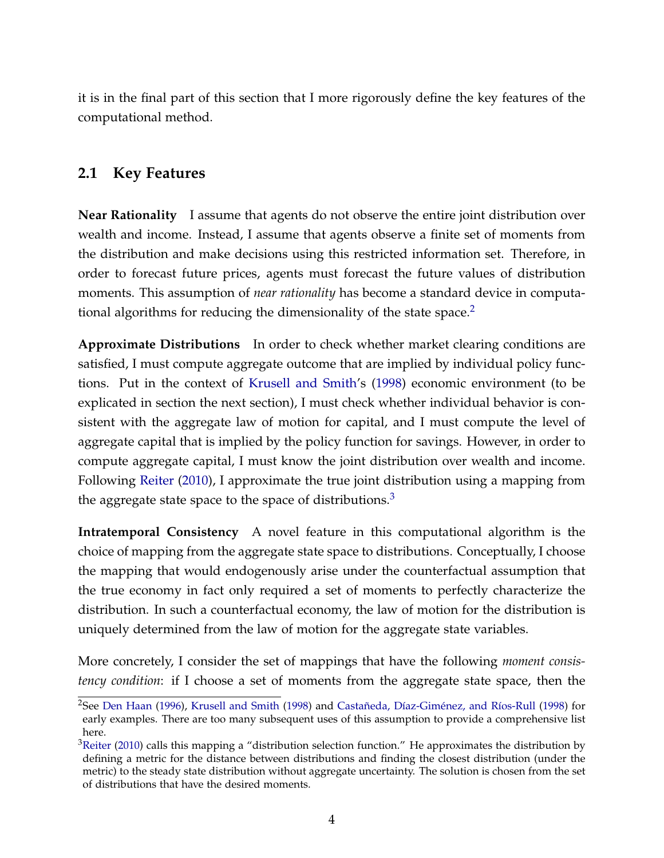it is in the final part of this section that I more rigorously define the key features of the computational method.

### <span id="page-4-0"></span>**2.1 Key Features**

**Near Rationality** I assume that agents do not observe the entire joint distribution over wealth and income. Instead, I assume that agents observe a finite set of moments from the distribution and make decisions using this restricted information set. Therefore, in order to forecast future prices, agents must forecast the future values of distribution moments. This assumption of *near rationality* has become a standard device in computational algorithms for reducing the dimensionality of the state space. $2$ 

**Approximate Distributions** In order to check whether market clearing conditions are satisfied, I must compute aggregate outcome that are implied by individual policy functions. Put in the context of [Krusell and Smith'](#page-28-0)s [\(1998\)](#page-28-0) economic environment (to be explicated in section the next section), I must check whether individual behavior is consistent with the aggregate law of motion for capital, and I must compute the level of aggregate capital that is implied by the policy function for savings. However, in order to compute aggregate capital, I must know the joint distribution over wealth and income. Following [Reiter](#page-28-1) [\(2010\)](#page-28-1), I approximate the true joint distribution using a mapping from the aggregate state space to the space of distributions.<sup>[3](#page-1-0)</sup>

**Intratemporal Consistency** A novel feature in this computational algorithm is the choice of mapping from the aggregate state space to distributions. Conceptually, I choose the mapping that would endogenously arise under the counterfactual assumption that the true economy in fact only required a set of moments to perfectly characterize the distribution. In such a counterfactual economy, the law of motion for the distribution is uniquely determined from the law of motion for the aggregate state variables.

More concretely, I consider the set of mappings that have the following *moment consistency condition*: if I choose a set of moments from the aggregate state space, then the

<sup>&</sup>lt;sup>2</sup>See [Den Haan](#page-27-2) [\(1996\)](#page-27-2), [Krusell and Smith](#page-28-0) [\(1998\)](#page-27-3) and [Castañeda, Díaz-Giménez, and Ríos-Rull](#page-27-3) (1998) for early examples. There are too many subsequent uses of this assumption to provide a comprehensive list here.

 $3$ [Reiter](#page-28-1) [\(2010\)](#page-28-1) calls this mapping a "distribution selection function." He approximates the distribution by defining a metric for the distance between distributions and finding the closest distribution (under the metric) to the steady state distribution without aggregate uncertainty. The solution is chosen from the set of distributions that have the desired moments.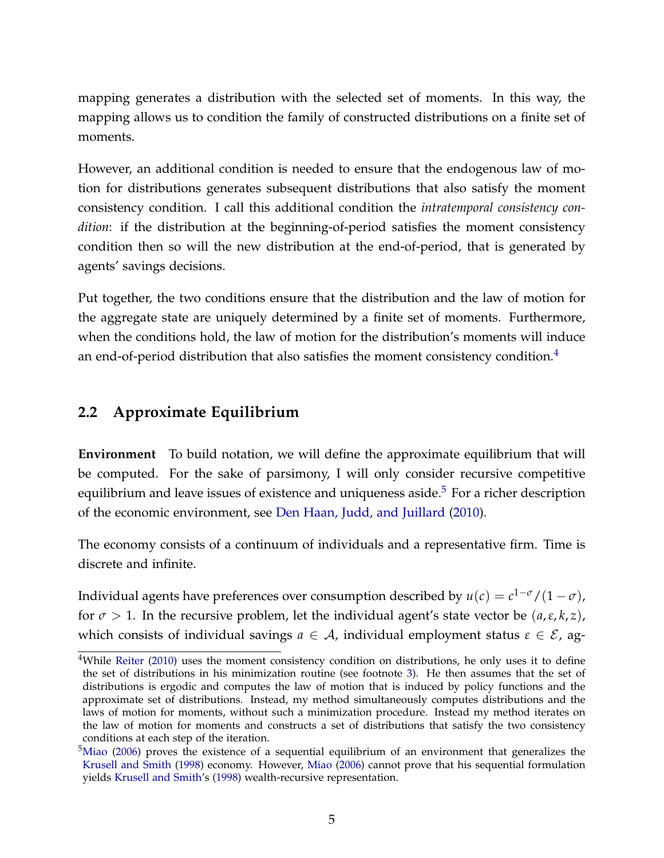mapping generates a distribution with the selected set of moments. In this way, the mapping allows us to condition the family of constructed distributions on a finite set of moments.

However, an additional condition is needed to ensure that the endogenous law of motion for distributions generates subsequent distributions that also satisfy the moment consistency condition. I call this additional condition the *intratemporal consistency condition*: if the distribution at the beginning-of-period satisfies the moment consistency condition then so will the new distribution at the end-of-period, that is generated by agents' savings decisions.

Put together, the two conditions ensure that the distribution and the law of motion for the aggregate state are uniquely determined by a finite set of moments. Furthermore, when the conditions hold, the law of motion for the distribution's moments will induce an end-of-period distribution that also satisfies the moment consistency condition. $4$ 

### <span id="page-5-0"></span>**2.2 Approximate Equilibrium**

**Environment** To build notation, we will define the approximate equilibrium that will be computed. For the sake of parsimony, I will only consider recursive competitive equilibrium and leave issues of existence and uniqueness aside. $5$  For a richer description of the economic environment, see [Den Haan, Judd, and Juillard](#page-28-2) [\(2010\)](#page-28-2).

The economy consists of a continuum of individuals and a representative firm. Time is discrete and infinite.

Individual agents have preferences over consumption described by  $u(c) = c^{1-\sigma}/(1-\sigma)$ , for  $\sigma > 1$ . In the recursive problem, let the individual agent's state vector be  $(a, \varepsilon, k, z)$ , which consists of individual savings  $a \in A$ , individual employment status  $\varepsilon \in \mathcal{E}$ , ag-

<sup>&</sup>lt;sup>4</sup>While [Reiter](#page-28-1) [\(2010\)](#page-28-1) uses the moment consistency condition on distributions, he only uses it to define the set of distributions in his minimization routine (see footnote [3\)](#page-4-0). He then assumes that the set of distributions is ergodic and computes the law of motion that is induced by policy functions and the approximate set of distributions. Instead, my method simultaneously computes distributions and the laws of motion for moments, without such a minimization procedure. Instead my method iterates on the law of motion for moments and constructs a set of distributions that satisfy the two consistency conditions at each step of the iteration.

 $5$ [Miao](#page-28-3) [\(2006\)](#page-28-3) proves the existence of a sequential equilibrium of an environment that generalizes the [Krusell and Smith](#page-28-0) [\(1998\)](#page-28-0) economy. However, [Miao](#page-28-3) [\(2006\)](#page-28-3) cannot prove that his sequential formulation yields [Krusell and Smith'](#page-28-0)s [\(1998\)](#page-28-0) wealth-recursive representation.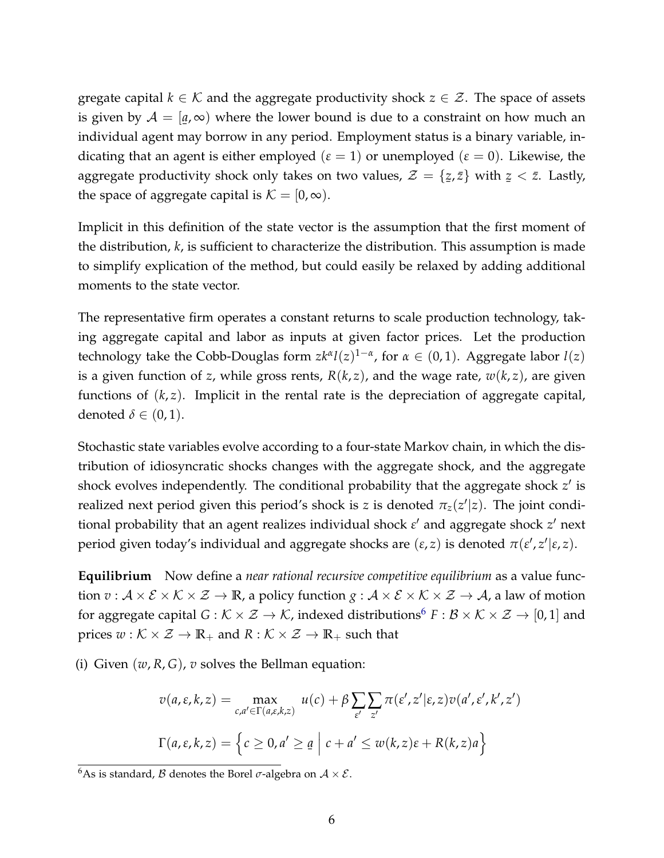gregate capital  $k \in \mathcal{K}$  and the aggregate productivity shock  $z \in \mathcal{Z}$ . The space of assets is given by  $\mathcal{A} = [\underline{a}, \infty)$  where the lower bound is due to a constraint on how much an ¯ individual agent may borrow in any period. Employment status is a binary variable, indicating that an agent is either employed  $(\varepsilon = 1)$  or unemployed  $(\varepsilon = 0)$ . Likewise, the aggregate productivity shock only takes on two values,  $\mathcal{Z} = \{$ ¯ *z*, *z*¯} with ¯  $z < \bar{z}$ . Lastly, the space of aggregate capital is  $K = [0, \infty)$ .

Implicit in this definition of the state vector is the assumption that the first moment of the distribution, *k*, is sufficient to characterize the distribution. This assumption is made to simplify explication of the method, but could easily be relaxed by adding additional moments to the state vector.

The representative firm operates a constant returns to scale production technology, taking aggregate capital and labor as inputs at given factor prices. Let the production technology take the Cobb-Douglas form  $zk^{\alpha}l(z)^{1-\alpha}$ , for  $\alpha \in (0,1)$ . Aggregate labor  $l(z)$ is a given function of *z*, while gross rents,  $R(k, z)$ , and the wage rate,  $w(k, z)$ , are given functions of  $(k, z)$ . Implicit in the rental rate is the depreciation of aggregate capital, denoted  $\delta \in (0,1)$ .

Stochastic state variables evolve according to a four-state Markov chain, in which the distribution of idiosyncratic shocks changes with the aggregate shock, and the aggregate shock evolves independently. The conditional probability that the aggregate shock  $z'$  is realized next period given this period's shock is *z* is denoted  $\pi_{z}(z'|z)$ . The joint conditional probability that an agent realizes individual shock  $\varepsilon'$  and aggregate shock  $z'$  next period given today's individual and aggregate shocks are  $(ε, z)$  is denoted  $π(ε', z'|ε, z)$ .

**Equilibrium** Now define a *near rational recursive competitive equilibrium* as a value function  $v : A \times E \times K \times Z \to \mathbb{R}$ , a policy function  $g : A \times E \times K \times Z \to A$ , a law of motion for aggregate capital  $G : \mathcal{K} \times \mathcal{Z} \to \mathcal{K}$ , indexed distributions<sup>[6](#page-1-0)</sup>  $F : \mathcal{B} \times \mathcal{K} \times \mathcal{Z} \to [0, 1]$  and prices  $w : \mathcal{K} \times \mathcal{Z} \to \mathbb{R}_+$  and  $R : \mathcal{K} \times \mathcal{Z} \to \mathbb{R}_+$  such that

(i) Given  $(w, R, G)$ , *v* solves the Bellman equation:

$$
v(a, \varepsilon, k, z) = \max_{c, a' \in \Gamma(a, \varepsilon, k, z)} u(c) + \beta \sum_{\varepsilon'} \sum_{z'} \pi(\varepsilon', z' | \varepsilon, z) v(a', \varepsilon', k', z')
$$

$$
\Gamma(a, \varepsilon, k, z) = \left\{ c \ge 0, a' \ge \underline{a} \mid c + a' \le w(k, z)\varepsilon + R(k, z)a \right\}
$$

<sup>&</sup>lt;sup>6</sup>As is standard, *B* denotes the Borel  $\sigma$ -algebra on  $A \times \mathcal{E}$ .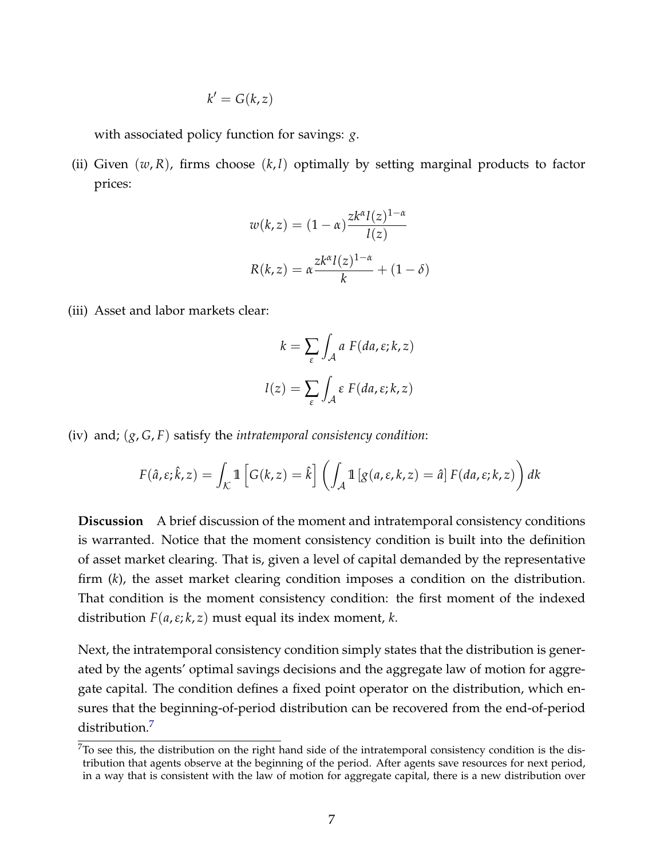$$
k'=G(k,z)
$$

with associated policy function for savings: *g*.

(ii) Given (*w*, *R*), firms choose (*k*, *l*) optimally by setting marginal products to factor prices:

$$
w(k, z) = (1 - \alpha) \frac{zk^{\alpha}l(z)^{1 - \alpha}}{l(z)}
$$

$$
R(k, z) = \alpha \frac{zk^{\alpha}l(z)^{1 - \alpha}}{k} + (1 - \delta)
$$

(iii) Asset and labor markets clear:

$$
k = \sum_{\varepsilon} \int_{\mathcal{A}} a F(da, \varepsilon; k, z)
$$

$$
l(z) = \sum_{\varepsilon} \int_{\mathcal{A}} \varepsilon F(da, \varepsilon; k, z)
$$

(iv) and; (*g*, *G*, *F*) satisfy the *intratemporal consistency condition*:

$$
F(\hat{a}, \varepsilon; \hat{k}, z) = \int_{\mathcal{K}} \mathbb{1} \left[ G(k, z) = \hat{k} \right] \left( \int_{\mathcal{A}} \mathbb{1} \left[ g(a, \varepsilon, k, z) = \hat{a} \right] F(da, \varepsilon; k, z) \right) dk
$$

**Discussion** A brief discussion of the moment and intratemporal consistency conditions is warranted. Notice that the moment consistency condition is built into the definition of asset market clearing. That is, given a level of capital demanded by the representative firm (*k*), the asset market clearing condition imposes a condition on the distribution. That condition is the moment consistency condition: the first moment of the indexed distribution *F*(*a*,*ε*; *k*, *z*) must equal its index moment, *k*.

Next, the intratemporal consistency condition simply states that the distribution is generated by the agents' optimal savings decisions and the aggregate law of motion for aggregate capital. The condition defines a fixed point operator on the distribution, which ensures that the beginning-of-period distribution can be recovered from the end-of-period distribution.<sup>[7](#page-1-0)</sup>

 $7$ To see this, the distribution on the right hand side of the intratemporal consistency condition is the distribution that agents observe at the beginning of the period. After agents save resources for next period, in a way that is consistent with the law of motion for aggregate capital, there is a new distribution over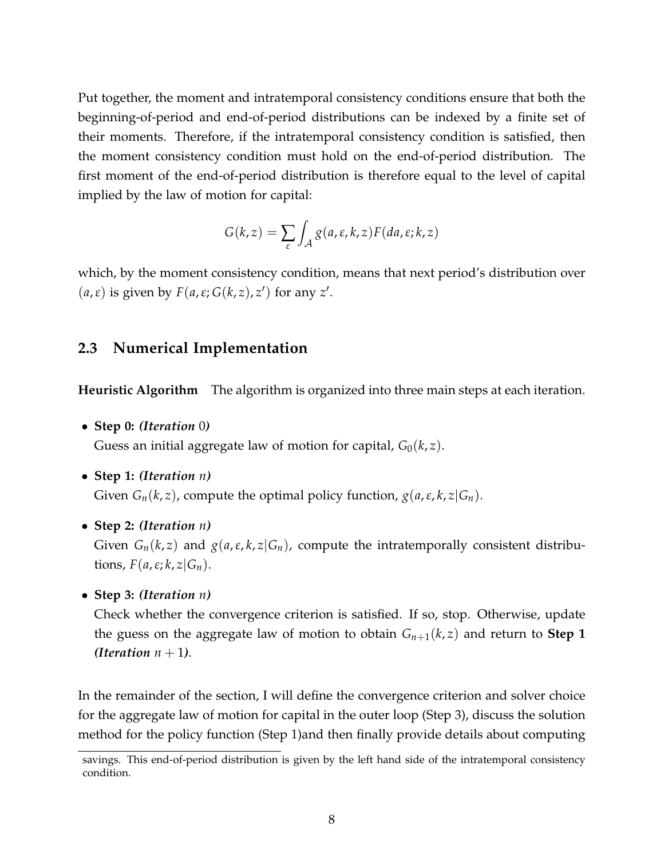Put together, the moment and intratemporal consistency conditions ensure that both the beginning-of-period and end-of-period distributions can be indexed by a finite set of their moments. Therefore, if the intratemporal consistency condition is satisfied, then the moment consistency condition must hold on the end-of-period distribution. The first moment of the end-of-period distribution is therefore equal to the level of capital implied by the law of motion for capital:

$$
G(k, z) = \sum_{\varepsilon} \int_{\mathcal{A}} g(a, \varepsilon, k, z) F(da, \varepsilon; k, z)
$$

which, by the moment consistency condition, means that next period's distribution over  $(a, \varepsilon)$  is given by  $F(a, \varepsilon; G(k, z), z')$  for any  $z'$ .

### <span id="page-8-0"></span>**2.3 Numerical Implementation**

**Heuristic Algorithm** The algorithm is organized into three main steps at each iteration.

• **Step 0:** *(Iteration* 0*)*

Guess an initial aggregate law of motion for capital,  $G_0(k, z)$ .

• **Step 1:** *(Iteration n)*

Given  $G_n(k, z)$ , compute the optimal policy function,  $g(a, \varepsilon, k, z | G_n)$ .

• **Step 2:** *(Iteration n)*

Given  $G_n(k, z)$  and  $g(a, \varepsilon, k, z | G_n)$ , compute the intratemporally consistent distributions,  $F(a, \varepsilon; k, z | G_n)$ .

• **Step 3:** *(Iteration n)*

Check whether the convergence criterion is satisfied. If so, stop. Otherwise, update the guess on the aggregate law of motion to obtain  $G_{n+1}(k, z)$  and return to **Step 1** *(Iteration*  $n + 1$ ).

In the remainder of the section, I will define the convergence criterion and solver choice for the aggregate law of motion for capital in the outer loop (Step 3), discuss the solution method for the policy function (Step 1)and then finally provide details about computing

savings. This end-of-period distribution is given by the left hand side of the intratemporal consistency condition.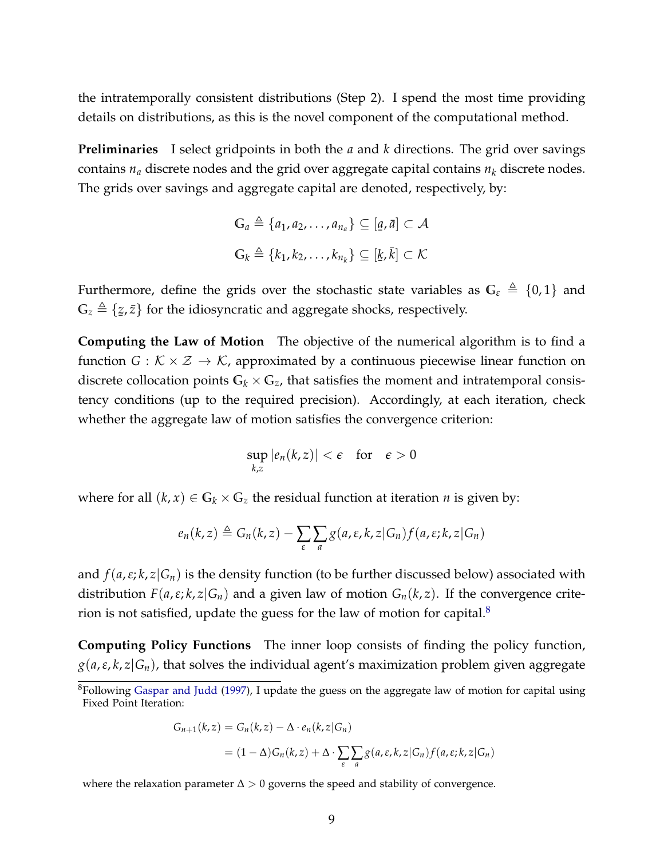the intratemporally consistent distributions (Step 2). I spend the most time providing details on distributions, as this is the novel component of the computational method.

**Preliminaries** I select gridpoints in both the *a* and *k* directions. The grid over savings contains  $n_a$  discrete nodes and the grid over aggregate capital contains  $n_k$  discrete nodes. The grids over savings and aggregate capital are denoted, respectively, by:

$$
\mathbb{G}_a \triangleq \{a_1, a_2, \dots, a_{n_a}\} \subseteq [a, \bar{a}] \subset \mathcal{A}
$$
  

$$
\mathbb{G}_k \triangleq \{k_1, k_2, \dots, k_{n_k}\} \subseteq [k, \bar{k}] \subset \mathcal{K}
$$

Furthermore, define the grids over the stochastic state variables as  $G_{\varepsilon} \triangleq \{0, 1\}$  and  $\mathbb{G}_z \triangleq \{z\}$ z,  $\bar{z}$ } for the idiosyncratic and aggregate shocks, respectively.

**Computing the Law of Motion** The objective of the numerical algorithm is to find a function *G* :  $K \times \mathcal{Z} \rightarrow \mathcal{K}$ , approximated by a continuous piecewise linear function on discrete collocation points  $G_k \times G_z$ , that satisfies the moment and intratemporal consistency conditions (up to the required precision). Accordingly, at each iteration, check whether the aggregate law of motion satisfies the convergence criterion:

$$
\sup_{k,z} |e_n(k,z)| < \epsilon \quad \text{for} \quad \epsilon > 0
$$

where for all  $(k, x) \in \mathbb{G}_k \times \mathbb{G}_z$  the residual function at iteration *n* is given by:

$$
e_n(k, z) \triangleq G_n(k, z) - \sum_{\varepsilon} \sum_{a} g(a, \varepsilon, k, z | G_n) f(a, \varepsilon; k, z | G_n)
$$

and  $f(a,\varepsilon;k,z|G_n)$  is the density function (to be further discussed below) associated with distribution  $F(a,\varepsilon;k,z|G_n)$  and a given law of motion  $G_n(k,z)$ . If the convergence criterion is not satisfied, update the guess for the law of motion for capital. $8$ 

**Computing Policy Functions** The inner loop consists of finding the policy function,  $g(a, \varepsilon, k, z | G_n)$ , that solves the individual agent's maximization problem given aggregate

$$
G_{n+1}(k, z) = G_n(k, z) - \Delta \cdot e_n(k, z | G_n)
$$
  
=  $(1 - \Delta)G_n(k, z) + \Delta \cdot \sum_{\varepsilon} \sum_{a} g(a, \varepsilon, k, z | G_n) f(a, \varepsilon; k, z | G_n)$ 

where the relaxation parameter  $\Delta > 0$  governs the speed and stability of convergence.

<sup>&</sup>lt;sup>8</sup>Following [Gaspar and Judd](#page-28-4) [\(1997\)](#page-28-4), I update the guess on the aggregate law of motion for capital using Fixed Point Iteration: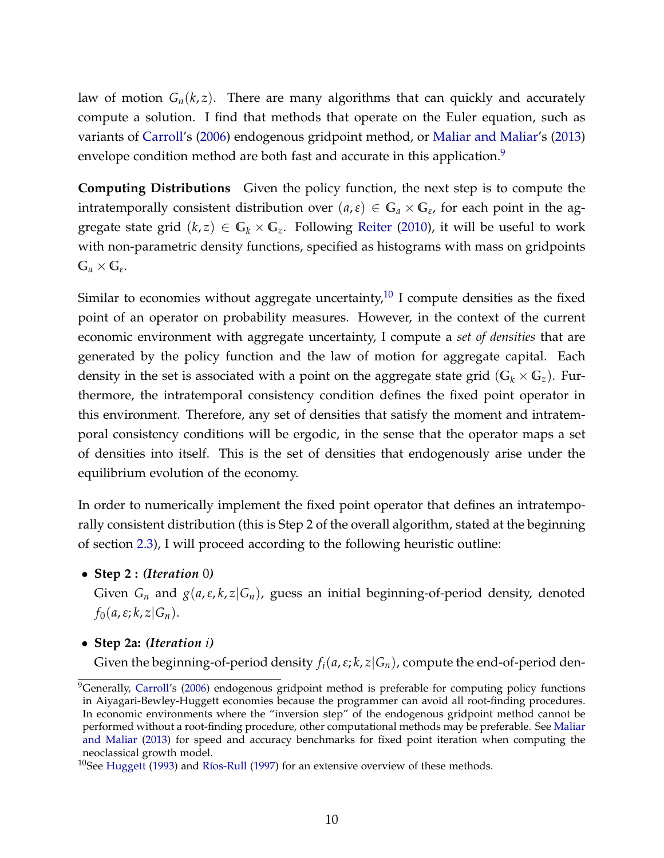law of motion  $G_n(k, z)$ . There are many algorithms that can quickly and accurately compute a solution. I find that methods that operate on the Euler equation, such as variants of [Carroll'](#page-27-4)s [\(2006\)](#page-27-4) endogenous gridpoint method, or [Maliar and Maliar'](#page-28-5)s [\(2013\)](#page-28-5) envelope condition method are both fast and accurate in this application.<sup>[9](#page-1-0)</sup>

**Computing Distributions** Given the policy function, the next step is to compute the intratemporally consistent distribution over  $(a, \varepsilon) \in \mathbb{G}_a \times \mathbb{G}_\varepsilon$ , for each point in the aggregate state grid  $(k, z) \in G_k \times G_z$ . Following [Reiter](#page-28-1) [\(2010\)](#page-28-1), it will be useful to work with non-parametric density functions, specified as histograms with mass on gridpoints  $\mathbb{G}_a \times \mathbb{G}_\varepsilon.$ 

Similar to economies without aggregate uncertainty, $^{10}$  $^{10}$  $^{10}$  I compute densities as the fixed point of an operator on probability measures. However, in the context of the current economic environment with aggregate uncertainty, I compute a *set of densities* that are generated by the policy function and the law of motion for aggregate capital. Each density in the set is associated with a point on the aggregate state grid  $(G_k \times G_z)$ . Furthermore, the intratemporal consistency condition defines the fixed point operator in this environment. Therefore, any set of densities that satisfy the moment and intratemporal consistency conditions will be ergodic, in the sense that the operator maps a set of densities into itself. This is the set of densities that endogenously arise under the equilibrium evolution of the economy.

In order to numerically implement the fixed point operator that defines an intratemporally consistent distribution (this is Step 2 of the overall algorithm, stated at the beginning of section [2.3\)](#page-8-0), I will proceed according to the following heuristic outline:

• **Step 2 :** *(Iteration* 0*)*

Given  $G_n$  and  $g(a, \varepsilon, k, z | G_n)$ , guess an initial beginning-of-period density, denoted  $f_0(a,\varepsilon; k, z|G_n)$ .

• **Step 2a:** *(Iteration i)*

Given the beginning-of-period density  $f_i(a, \varepsilon; k, z | G_n)$ , compute the end-of-period den-

<sup>&</sup>lt;sup>9</sup>Generally, [Carroll'](#page-27-4)s [\(2006\)](#page-27-4) endogenous gridpoint method is preferable for computing policy functions in Aiyagari-Bewley-Huggett economies because the programmer can avoid all root-finding procedures. In economic environments where the "inversion step" of the endogenous gridpoint method cannot be performed without a root-finding procedure, other computational methods may be preferable. See [Maliar](#page-28-5) [and Maliar](#page-28-5) [\(2013\)](#page-28-5) for speed and accuracy benchmarks for fixed point iteration when computing the neoclassical growth model.

<sup>&</sup>lt;sup>10</sup>See [Huggett](#page-28-6) [\(1993\)](#page-28-6) and [Ríos-Rull](#page-29-1) [\(1997\)](#page-29-1) for an extensive overview of these methods.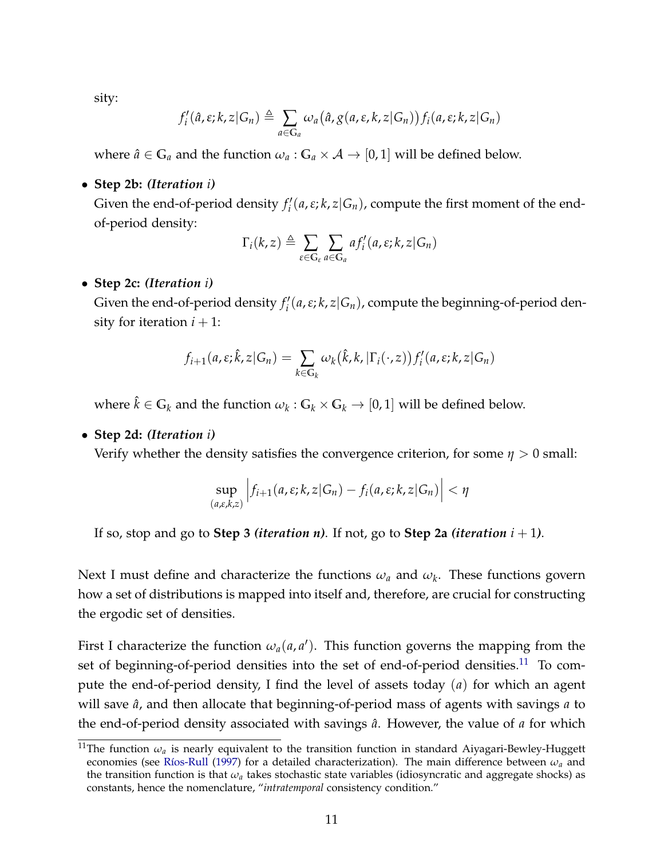sity:

$$
f'_{i}(\hat{a}, \varepsilon; k, z | G_n) \triangleq \sum_{a \in G_a} \omega_a(\hat{a}, g(a, \varepsilon, k, z | G_n)) f_i(a, \varepsilon; k, z | G_n)
$$

where  $\hat{a} \in \mathbb{G}_a$  and the function  $\omega_a : \mathbb{G}_a \times \mathcal{A} \to [0,1]$  will be defined below.

• **Step 2b:** *(Iteration i)*

Given the end-of-period density  $f_i'$ *i* (*a*,*ε*; *k*, *z*|*Gn*), compute the first moment of the endof-period density:

$$
\Gamma_i(k, z) \triangleq \sum_{\varepsilon \in \mathbb{G}_{\varepsilon}} \sum_{a \in \mathbb{G}_a} af'_i(a, \varepsilon; k, z | G_n)
$$

#### • **Step 2c:** *(Iteration i)*

Given the end-of-period density  $f_i'$ *i* (*a*,*ε*; *k*, *z*|*Gn*), compute the beginning-of-period density for iteration  $i + 1$ :

$$
f_{i+1}(a,\varepsilon;\hat{k},z|G_n) = \sum_{k \in G_k} \omega_k(\hat{k},k,|\Gamma_i(\cdot,z)) f'_i(a,\varepsilon;k,z|G_n)
$$

where  $\hat{k} \in \mathbb{G}_k$  and the function  $\omega_k : \mathbb{G}_k \times \mathbb{G}_k \to [0,1]$  will be defined below.

#### • **Step 2d:** *(Iteration i)*

Verify whether the density satisfies the convergence criterion, for some *η* > 0 small:

$$
\sup_{(a,\varepsilon,k,z)} \left| f_{i+1}(a,\varepsilon;k,z|G_n) - f_i(a,\varepsilon;k,z|G_n) \right| < \eta
$$

If so, stop and go to **Step 3** *(iteration n)*. If not, go to **Step 2a** *(iteration*  $i + 1$ *)*.

Next I must define and characterize the functions *ω<sup>a</sup>* and *ω<sup>k</sup>* . These functions govern how a set of distributions is mapped into itself and, therefore, are crucial for constructing the ergodic set of densities.

First I characterize the function  $\omega_a(a, a')$ . This function governs the mapping from the set of beginning-of-period densities into the set of end-of-period densities.<sup>[11](#page-1-0)</sup> To compute the end-of-period density, I find the level of assets today (*a*) for which an agent will save  $\hat{a}$ , and then allocate that beginning-of-period mass of agents with savings  $a$  to the end-of-period density associated with savings *a*ˆ. However, the value of *a* for which

<sup>&</sup>lt;sup>11</sup>The function  $\omega_a$  is nearly equivalent to the transition function in standard Aiyagari-Bewley-Huggett economies (see [Ríos-Rull](#page-29-1) [\(1997\)](#page-29-1) for a detailed characterization). The main difference between *ωa* and the transition function is that *ωa* takes stochastic state variables (idiosyncratic and aggregate shocks) as constants, hence the nomenclature, "*intratemporal* consistency condition."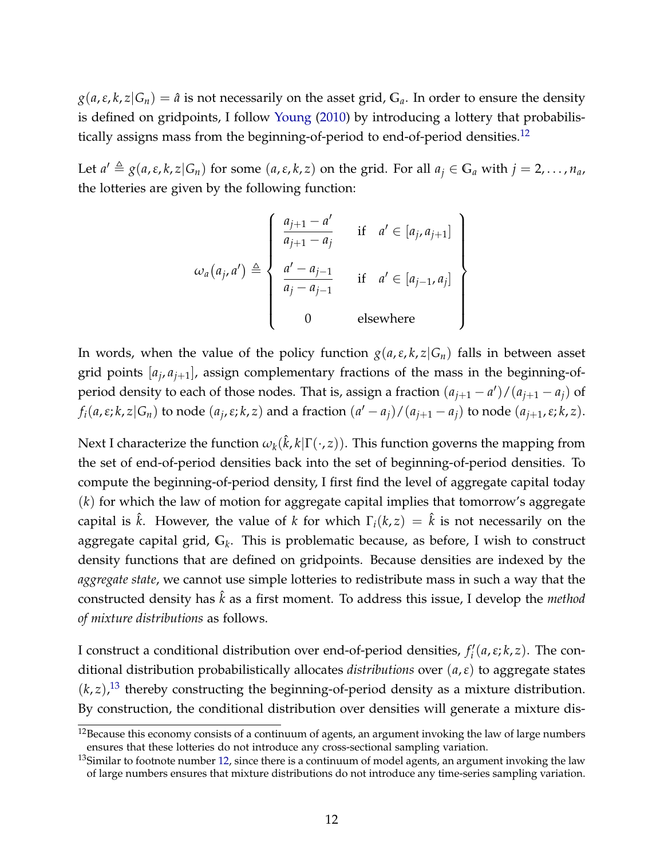$g(a, \varepsilon, k, z | G_n) = \hat{a}$  is not necessarily on the asset grid,  $G_a$ . In order to ensure the density is defined on gridpoints, I follow [Young](#page-29-0) [\(2010\)](#page-29-0) by introducing a lottery that probabilis-tically assigns mass from the beginning-of-period to end-of-period densities.<sup>[12](#page-1-0)</sup>

Let  $a' \triangleq g(a,\varepsilon,k,z|G_n)$  for some  $(a,\varepsilon,k,z)$  on the grid. For all  $a_j \in G_a$  with  $j = 2,\ldots,n_a$ , the lotteries are given by the following function:

$$
\omega_a(a_j, a') \triangleq \left\{\begin{array}{ll}\n\frac{a_{j+1} - a'}{a_{j+1} - a_j} & \text{if } a' \in [a_j, a_{j+1}] \\
\frac{a' - a_{j-1}}{a_j - a_{j-1}} & \text{if } a' \in [a_{j-1}, a_j] \\
0 & \text{elsewhere}\n\end{array}\right\}
$$

In words, when the value of the policy function  $g(a, \varepsilon, k, z|G_n)$  falls in between asset grid points  $[a_j, a_{j+1}]$ , assign complementary fractions of the mass in the beginning-ofperiod density to each of those nodes. That is, assign a fraction  $(a_{j+1} - a')/(a_{j+1} - a_j)$  of  $f_i(a,\varepsilon;k,z|G_n)$  to node  $(a_j,\varepsilon;k,z)$  and a fraction  $(a'-a_j)/(a_{j+1}-a_j)$  to node  $(a_{j+1},\varepsilon;k,z)$ .

Next I characterize the function  $\omega_k(\hat k,k|\Gamma(\cdot,z)).$  This function governs the mapping from the set of end-of-period densities back into the set of beginning-of-period densities. To compute the beginning-of-period density, I first find the level of aggregate capital today (*k*) for which the law of motion for aggregate capital implies that tomorrow's aggregate capital is  $\hat{k}$ . However, the value of *k* for which  $\Gamma_i(k, z) = \hat{k}$  is not necessarily on the aggregate capital grid, **G***<sup>k</sup>* . This is problematic because, as before, I wish to construct density functions that are defined on gridpoints. Because densities are indexed by the *aggregate state*, we cannot use simple lotteries to redistribute mass in such a way that the constructed density has ˆ*k* as a first moment. To address this issue, I develop the *method of mixture distributions* as follows.

I construct a conditional distribution over end-of-period densities,  $f_i'$ *i* (*a*,*ε*; *k*, *z*). The conditional distribution probabilistically allocates *distributions* over (*a*,*ε*) to aggregate states  $(k, z)$ ,<sup>[13](#page-1-0)</sup> thereby constructing the beginning-of-period density as a mixture distribution. By construction, the conditional distribution over densities will generate a mixture dis-

 $12$ Because this economy consists of a continuum of agents, an argument invoking the law of large numbers ensures that these lotteries do not introduce any cross-sectional sampling variation.

 $13$ Similar to footnote number [12,](#page-8-0) since there is a continuum of model agents, an argument invoking the law of large numbers ensures that mixture distributions do not introduce any time-series sampling variation.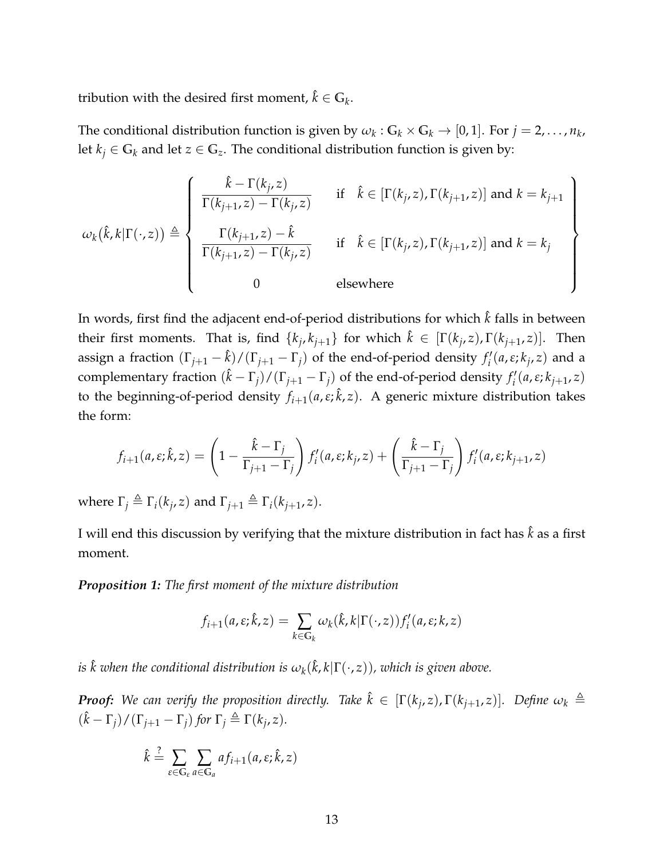tribution with the desired first moment,  $\hat{k} \in \mathbb{G}_k$ .

The conditional distribution function is given by  $\omega_k$ :  $G_k \times G_k \to [0,1]$ . For  $j = 2, ..., n_k$ , let  $k_j \in G_k$  and let  $z \in G_z$ . The conditional distribution function is given by:

$$
\omega_{k}(\hat{k},k|\Gamma(\cdot,z)) \triangleq \left\{\begin{array}{ll}\frac{\hat{k}-\Gamma(k_{j},z)}{\Gamma(k_{j+1},z)-\Gamma(k_{j},z)} & \text{if } \hat{k} \in [\Gamma(k_{j},z),\Gamma(k_{j+1},z)] \text{ and } k = k_{j+1} \\ \frac{\Gamma(k_{j+1},z)-\hat{k}}{\Gamma(k_{j+1},z)-\Gamma(k_{j},z)} & \text{if } \hat{k} \in [\Gamma(k_{j},z),\Gamma(k_{j+1},z)] \text{ and } k = k_{j} \\ 0 & \text{elsewhere}\end{array}\right\}
$$

In words, first find the adjacent end-of-period distributions for which  $\hat{k}$  falls in between their first moments. That is, find  $\{k_j, k_{j+1}\}$  for which  $\hat{k} \in [\Gamma(k_j, z), \Gamma(k_{j+1}, z)].$  Then assign a fraction  $(\Gamma_{j+1} - \hat{k})/(\Gamma_{j+1} - \Gamma_j)$  of the end-of-period density  $f'_i$ *i* (*a*,*ε*; *k<sup>j</sup>* , *z*) and a complementary fraction  $(\hat{k} - \Gamma_j)/(\Gamma_{j+1} - \Gamma_j)$  of the end-of-period density  $f'_i$ *i* (*a*,*ε*; *kj*+<sup>1</sup> , *z*) to the beginning-of-period density *fi*+1(*a*,*ε*; ˆ*k*, *z*). A generic mixture distribution takes the form:

$$
f_{i+1}(a,\varepsilon;\hat{k},z) = \left(1 - \frac{\hat{k} - \Gamma_j}{\Gamma_{j+1} - \Gamma_j}\right) f'_i(a,\varepsilon;k_j,z) + \left(\frac{\hat{k} - \Gamma_j}{\Gamma_{j+1} - \Gamma_j}\right) f'_i(a,\varepsilon;k_{j+1},z)
$$

where  $\Gamma_j \triangleq \Gamma_i(k_j, z)$  and  $\Gamma_{j+1} \triangleq \Gamma_i(k_{j+1}, z)$ .

I will end this discussion by verifying that the mixture distribution in fact has  $\hat{k}$  as a first moment.

*Proposition 1: The first moment of the mixture distribution*

$$
f_{i+1}(a,\varepsilon;\hat{k},z) = \sum_{k \in \mathbb{G}_k} \omega_k(\hat{k},k|\Gamma(\cdot,z)) f'_i(a,\varepsilon;k,z)
$$

 $i$ s  $\hat{k}$  when the conditional distribution is  $\omega_k(\hat{k}, k | \Gamma(\cdot, z))$ , which is given above.

 $\bm{Proof:}$  We can verify the proposition directly. Take  $\hat{k} \in [\Gamma(k_j,z),\Gamma(k_{j+1},z)].$  Define  $\omega_k \triangleq 0$  $(\hat{k} - \Gamma_j)/(\Gamma_{j+1} - \Gamma_j)$  for  $\Gamma_j \triangleq \Gamma(k_j, z)$ *.* 

$$
\hat{k} \stackrel{?}{=} \sum_{\varepsilon \in \mathbb{G}_{\varepsilon}} \sum_{a \in \mathbb{G}_a} af_{i+1}(a, \varepsilon; \hat{k}, z)
$$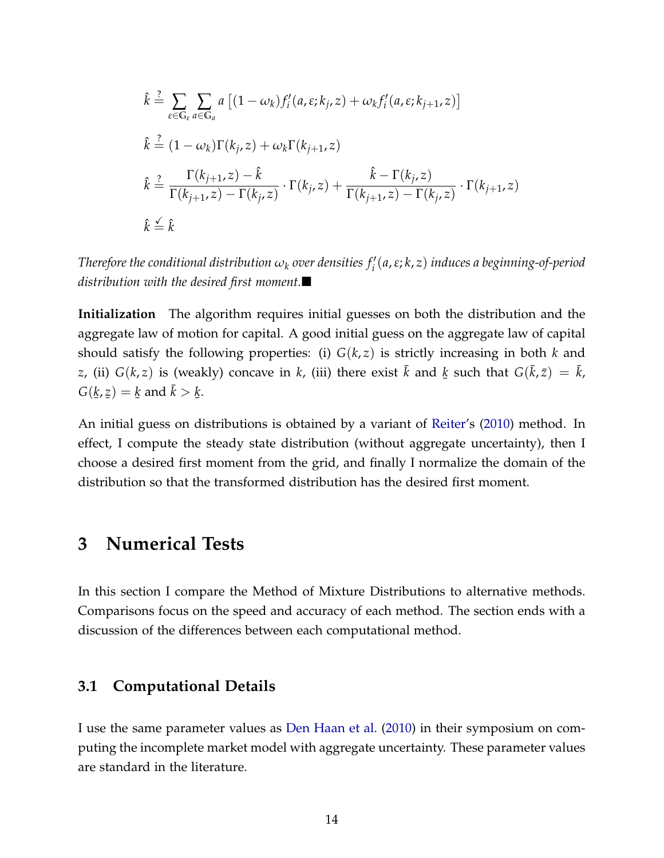$$
\hat{k} \stackrel{?}{=} \sum_{\varepsilon \in \mathbb{G}_{\varepsilon}} \sum_{a \in \mathbb{G}_{a}} a \left[ (1 - \omega_{k}) f'_{i}(a, \varepsilon; k_{j}, z) + \omega_{k} f'_{i}(a, \varepsilon; k_{j+1}, z) \right]
$$
\n
$$
\hat{k} \stackrel{?}{=} (1 - \omega_{k}) \Gamma(k_{j}, z) + \omega_{k} \Gamma(k_{j+1}, z)
$$
\n
$$
\hat{k} \stackrel{?}{=} \frac{\Gamma(k_{j+1}, z) - \hat{k}}{\Gamma(k_{j+1}, z) - \Gamma(k_{j}, z)} \cdot \Gamma(k_{j}, z) + \frac{\hat{k} - \Gamma(k_{j}, z)}{\Gamma(k_{j+1}, z) - \Gamma(k_{j}, z)} \cdot \Gamma(k_{j+1}, z)
$$
\n
$$
\hat{k} \stackrel{\leq}{=} \hat{k}
$$

 $\tau$  *Therefore the conditional distribution*  $\omega_k$  *over densities*  $f'_i(a,\varepsilon;k,z)$  *induces a beginning-of-period distribution with the desired first moment.*

**Initialization** The algorithm requires initial guesses on both the distribution and the aggregate law of motion for capital. A good initial guess on the aggregate law of capital should satisfy the following properties: (i)  $G(k, z)$  is strictly increasing in both  $k$  and *z*, (ii)  $G(k, z)$  is (weakly) concave in *k*, (iii) there exist  $\bar{k}$  and ¯  $\underline{k}$  such that  $G(\bar{k},\bar{z}) = \bar{k}$ , *G*( ¯ *k*, ¯ *z*) = ¯  $\underline{k}$  and  $\bar{k}$   $>$ ¯ *k*.

An initial guess on distributions is obtained by a variant of [Reiter'](#page-28-1)s [\(2010\)](#page-28-1) method. In effect, I compute the steady state distribution (without aggregate uncertainty), then I choose a desired first moment from the grid, and finally I normalize the domain of the distribution so that the transformed distribution has the desired first moment.

## **3 Numerical Tests**

In this section I compare the Method of Mixture Distributions to alternative methods. Comparisons focus on the speed and accuracy of each method. The section ends with a discussion of the differences between each computational method.

### **3.1 Computational Details**

I use the same parameter values as [Den Haan et al.](#page-28-2) [\(2010\)](#page-28-2) in their symposium on computing the incomplete market model with aggregate uncertainty. These parameter values are standard in the literature.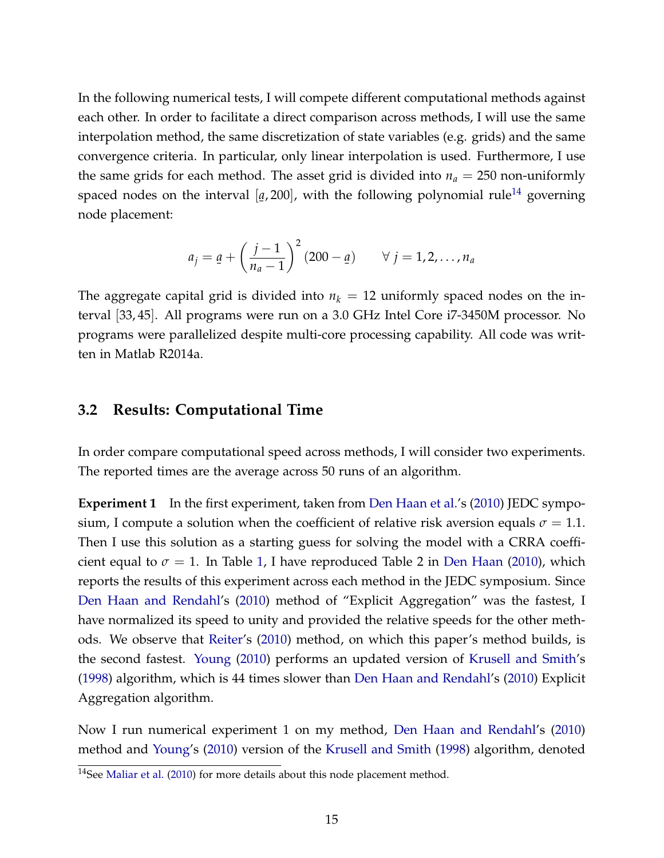In the following numerical tests, I will compete different computational methods against each other. In order to facilitate a direct comparison across methods, I will use the same interpolation method, the same discretization of state variables (e.g. grids) and the same convergence criteria. In particular, only linear interpolation is used. Furthermore, I use the same grids for each method. The asset grid is divided into  $n_a = 250$  non-uniformly spaced nodes on the interval [ ¯  $q$ , 200], with the following polynomial rule<sup>[14](#page-1-0)</sup> governing node placement:

$$
a_j = \underline{a} + \left(\frac{j-1}{n_a-1}\right)^2 (200 - \underline{a}) \qquad \forall j = 1, 2, \ldots, n_a
$$

The aggregate capital grid is divided into  $n_k = 12$  uniformly spaced nodes on the interval [33, 45]. All programs were run on a 3.0 GHz Intel Core i7-3450M processor. No programs were parallelized despite multi-core processing capability. All code was written in Matlab R2014a.

### <span id="page-15-0"></span>**3.2 Results: Computational Time**

In order compare computational speed across methods, I will consider two experiments. The reported times are the average across 50 runs of an algorithm.

**Experiment 1** In the first experiment, taken from [Den Haan et al.'](#page-28-2)s [\(2010\)](#page-28-2) JEDC symposium, I compute a solution when the coefficient of relative risk aversion equals  $\sigma = 1.1$ . Then I use this solution as a starting guess for solving the model with a CRRA coefficient equal to  $\sigma = 1$ . In Table [1,](#page-16-0) I have reproduced Table 2 in [Den Haan](#page-28-7) [\(2010\)](#page-28-7), which reports the results of this experiment across each method in the JEDC symposium. Since [Den Haan and Rendahl'](#page-28-8)s [\(2010\)](#page-28-8) method of "Explicit Aggregation" was the fastest, I have normalized its speed to unity and provided the relative speeds for the other methods. We observe that [Reiter'](#page-28-1)s [\(2010\)](#page-28-1) method, on which this paper's method builds, is the second fastest. [Young](#page-29-0) [\(2010\)](#page-29-0) performs an updated version of [Krusell and Smith'](#page-28-0)s [\(1998\)](#page-28-0) algorithm, which is 44 times slower than [Den Haan and Rendahl'](#page-28-8)s [\(2010\)](#page-28-8) Explicit Aggregation algorithm.

Now I run numerical experiment 1 on my method, [Den Haan and Rendahl'](#page-28-8)s [\(2010\)](#page-28-8) method and [Young'](#page-29-0)s [\(2010\)](#page-29-0) version of the [Krusell and Smith](#page-28-0) [\(1998\)](#page-28-0) algorithm, denoted

<sup>&</sup>lt;sup>14</sup>See [Maliar et al.](#page-28-9) [\(2010\)](#page-28-9) for more details about this node placement method.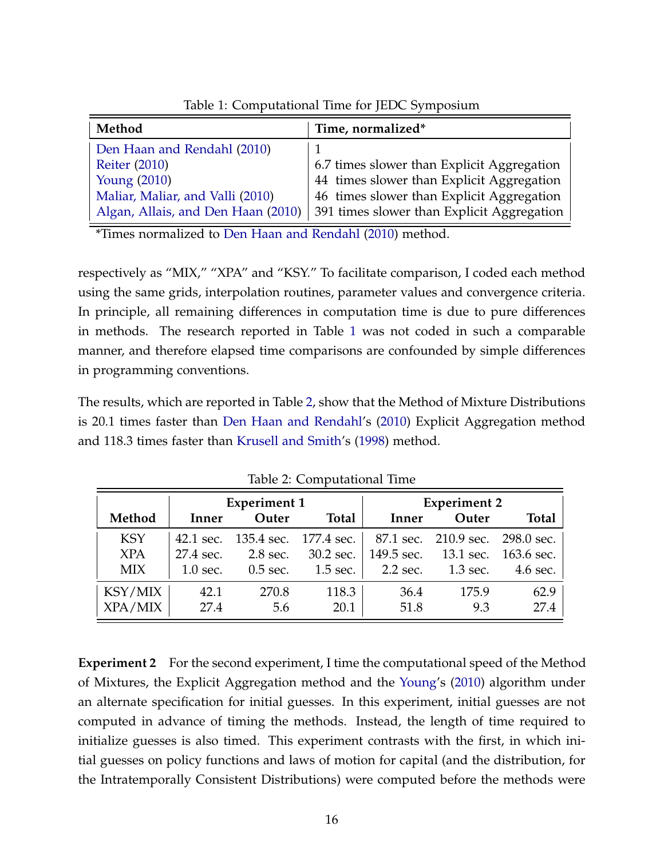| Method                             | Time, normalized*                          |
|------------------------------------|--------------------------------------------|
| Den Haan and Rendahl (2010)        |                                            |
| <b>Reiter (2010)</b>               | 6.7 times slower than Explicit Aggregation |
| <b>Young (2010)</b>                | 44 times slower than Explicit Aggregation  |
| Maliar, Maliar, and Valli (2010)   | 46 times slower than Explicit Aggregation  |
| Algan, Allais, and Den Haan (2010) | 391 times slower than Explicit Aggregation |

<span id="page-16-0"></span>Table 1: Computational Time for JEDC Symposium

\*Times normalized to [Den Haan and Rendahl](#page-28-8) [\(2010\)](#page-28-8) method.

respectively as "MIX," "XPA" and "KSY." To facilitate comparison, I coded each method using the same grids, interpolation routines, parameter values and convergence criteria. In principle, all remaining differences in computation time is due to pure differences in methods. The research reported in Table [1](#page-16-0) was not coded in such a comparable manner, and therefore elapsed time comparisons are confounded by simple differences in programming conventions.

The results, which are reported in Table [2,](#page-16-1) show that the Method of Mixture Distributions is 20.1 times faster than [Den Haan and Rendahl'](#page-28-8)s [\(2010\)](#page-28-8) Explicit Aggregation method and 118.3 times faster than [Krusell and Smith'](#page-28-0)s [\(1998\)](#page-28-0) method.

|            |            | <b>Experiment 1</b>             |              | <b>Experiment 2</b> |                                 |              |
|------------|------------|---------------------------------|--------------|---------------------|---------------------------------|--------------|
| Method     | Inner      | Outer                           | <b>Total</b> | Inner               | Outer                           | <b>Total</b> |
| <b>KSY</b> |            | 42.1 sec. 135.4 sec. 177.4 sec. |              |                     | 87.1 sec. 210.9 sec. 298.0 sec. |              |
| <b>XPA</b> | 27.4 sec.  | 2.8 sec.                        | 30.2 sec.    |                     | 149.5 sec. 13.1 sec. 163.6 sec. |              |
| <b>MIX</b> | $1.0$ sec. | $0.5$ sec.                      | 1.5 sec.     | 2.2 sec.            | 1.3 sec.                        | 4.6 sec.     |
| KSY/MIX    | 42.1       | 270.8                           | 118.3        | 36.4                | 175.9                           | 62.9         |
| XPA/MIX    | 27.4       | 5.6                             | 20.1         | 51.8                | 9.3                             | 27.4         |

<span id="page-16-1"></span>Table 2: Computational Time

**Experiment 2** For the second experiment, I time the computational speed of the Method of Mixtures, the Explicit Aggregation method and the [Young'](#page-29-0)s [\(2010\)](#page-29-0) algorithm under an alternate specification for initial guesses. In this experiment, initial guesses are not computed in advance of timing the methods. Instead, the length of time required to initialize guesses is also timed. This experiment contrasts with the first, in which initial guesses on policy functions and laws of motion for capital (and the distribution, for the Intratemporally Consistent Distributions) were computed before the methods were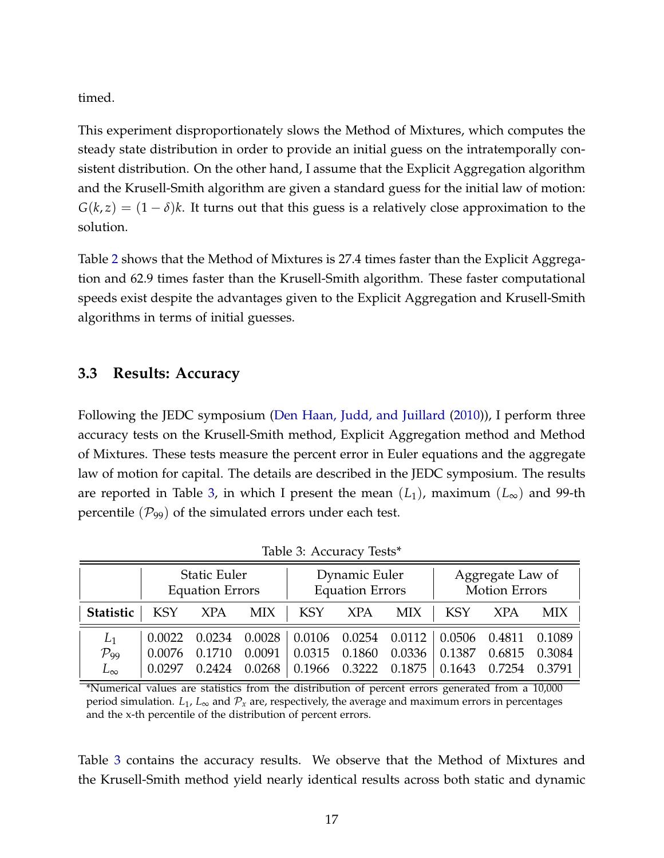timed.

This experiment disproportionately slows the Method of Mixtures, which computes the steady state distribution in order to provide an initial guess on the intratemporally consistent distribution. On the other hand, I assume that the Explicit Aggregation algorithm and the Krusell-Smith algorithm are given a standard guess for the initial law of motion:  $G(k, z) = (1 - \delta)k$ . It turns out that this guess is a relatively close approximation to the solution.

Table [2](#page-16-1) shows that the Method of Mixtures is 27.4 times faster than the Explicit Aggregation and 62.9 times faster than the Krusell-Smith algorithm. These faster computational speeds exist despite the advantages given to the Explicit Aggregation and Krusell-Smith algorithms in terms of initial guesses.

### <span id="page-17-1"></span>**3.3 Results: Accuracy**

Following the JEDC symposium [\(Den Haan, Judd, and Juillard](#page-28-2) [\(2010\)](#page-28-2)), I perform three accuracy tests on the Krusell-Smith method, Explicit Aggregation method and Method of Mixtures. These tests measure the percent error in Euler equations and the aggregate law of motion for capital. The details are described in the JEDC symposium. The results are reported in Table [3,](#page-17-0) in which I present the mean  $(L_1)$ , maximum  $(L_{\infty})$  and 99-th percentile  $(\mathcal{P}_{99})$  of the simulated errors under each test.

|                    | <b>Static Euler</b><br><b>Equation Errors</b> |            | Dynamic Euler<br><b>Equation Errors</b> |               |            | Aggregate Law of<br><b>Motion Errors</b> |            |                                                                                                                   |            |
|--------------------|-----------------------------------------------|------------|-----------------------------------------|---------------|------------|------------------------------------------|------------|-------------------------------------------------------------------------------------------------------------------|------------|
| <b>Statistic</b>   | <b>KSY</b>                                    | <b>XPA</b> | <b>MIX</b>                              | KSY           | <b>XPA</b> | <b>MIX</b>                               | <b>KSY</b> | <b>XPA</b>                                                                                                        | <b>MIX</b> |
| $L_1$              | 0.0022                                        | 0.0234     | 0.0028                                  |               |            |                                          |            | $\begin{array}{ l} 0.0106 & 0.0254 & 0.0112 \end{array}$ $\begin{array}{ l} 0.0506 & 0.4811 & 0.1089 \end{array}$ |            |
| $\mathcal{P}_{99}$ | 0.0076                                        | 0.1710     | 0.0091                                  | 0.0315        | 0.1860     | 0.0336                                   | 0.1387     | 0.6815                                                                                                            | 0.3084     |
| $L_{\infty}$       | 0.0297                                        | 0.2424     | 0.0268                                  | 0.1966 0.3222 |            | 0.1875                                   | 0.1643     | 0.7254                                                                                                            | 0.3791     |

<span id="page-17-0"></span>Table 3: Accuracy Tests\*

\*Numerical values are statistics from the distribution of percent errors generated from a 10,000 period simulation.  $L_1$ ,  $L_\infty$  and  $\mathcal{P}_x$  are, respectively, the average and maximum errors in percentages and the x-th percentile of the distribution of percent errors.

Table [3](#page-17-0) contains the accuracy results. We observe that the Method of Mixtures and the Krusell-Smith method yield nearly identical results across both static and dynamic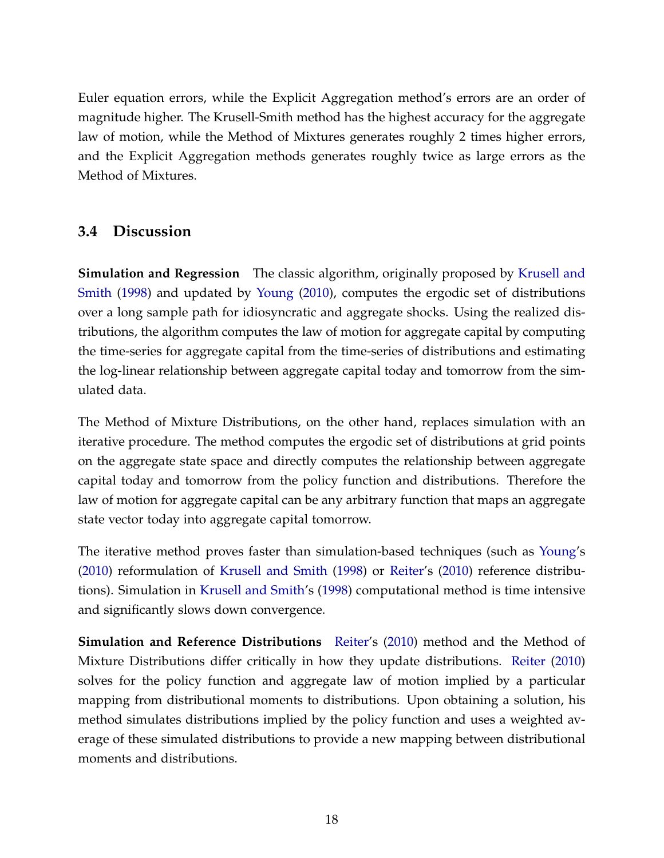Euler equation errors, while the Explicit Aggregation method's errors are an order of magnitude higher. The Krusell-Smith method has the highest accuracy for the aggregate law of motion, while the Method of Mixtures generates roughly 2 times higher errors, and the Explicit Aggregation methods generates roughly twice as large errors as the Method of Mixtures.

## **3.4 Discussion**

**Simulation and Regression** The classic algorithm, originally proposed by [Krusell and](#page-28-0) [Smith](#page-28-0) [\(1998\)](#page-28-0) and updated by [Young](#page-29-0) [\(2010\)](#page-29-0), computes the ergodic set of distributions over a long sample path for idiosyncratic and aggregate shocks. Using the realized distributions, the algorithm computes the law of motion for aggregate capital by computing the time-series for aggregate capital from the time-series of distributions and estimating the log-linear relationship between aggregate capital today and tomorrow from the simulated data.

The Method of Mixture Distributions, on the other hand, replaces simulation with an iterative procedure. The method computes the ergodic set of distributions at grid points on the aggregate state space and directly computes the relationship between aggregate capital today and tomorrow from the policy function and distributions. Therefore the law of motion for aggregate capital can be any arbitrary function that maps an aggregate state vector today into aggregate capital tomorrow.

The iterative method proves faster than simulation-based techniques (such as [Young'](#page-29-0)s [\(2010\)](#page-29-0) reformulation of [Krusell and Smith](#page-28-0) [\(1998\)](#page-28-0) or [Reiter'](#page-28-1)s [\(2010\)](#page-28-1) reference distributions). Simulation in [Krusell and Smith'](#page-28-0)s [\(1998\)](#page-28-0) computational method is time intensive and significantly slows down convergence.

**Simulation and Reference Distributions** [Reiter'](#page-28-1)s [\(2010\)](#page-28-1) method and the Method of Mixture Distributions differ critically in how they update distributions. [Reiter](#page-28-1) [\(2010\)](#page-28-1) solves for the policy function and aggregate law of motion implied by a particular mapping from distributional moments to distributions. Upon obtaining a solution, his method simulates distributions implied by the policy function and uses a weighted average of these simulated distributions to provide a new mapping between distributional moments and distributions.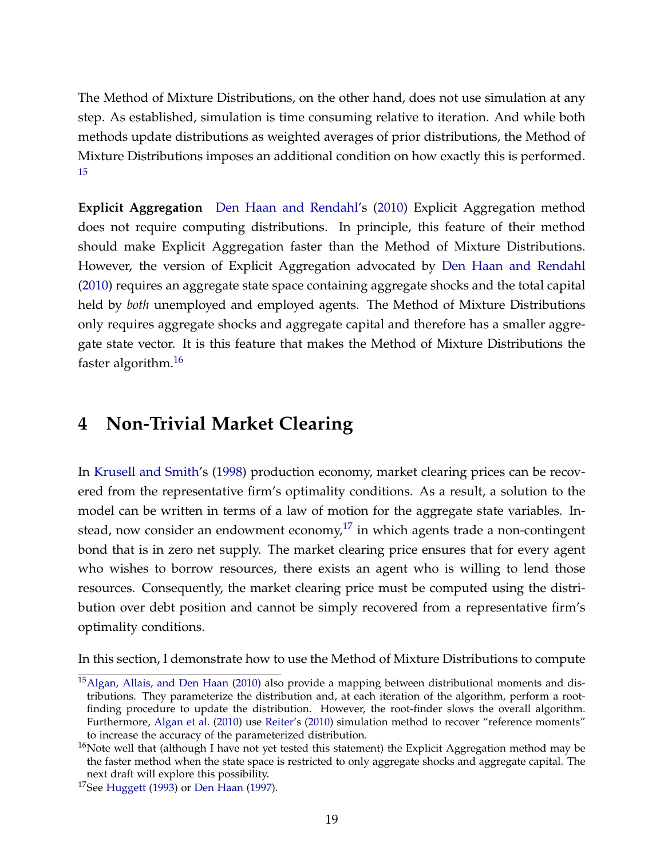The Method of Mixture Distributions, on the other hand, does not use simulation at any step. As established, simulation is time consuming relative to iteration. And while both methods update distributions as weighted averages of prior distributions, the Method of Mixture Distributions imposes an additional condition on how exactly this is performed. [15](#page-1-0)

**Explicit Aggregation** [Den Haan and Rendahl'](#page-28-8)s [\(2010\)](#page-28-8) Explicit Aggregation method does not require computing distributions. In principle, this feature of their method should make Explicit Aggregation faster than the Method of Mixture Distributions. However, the version of Explicit Aggregation advocated by [Den Haan and Rendahl](#page-28-8) [\(2010\)](#page-28-8) requires an aggregate state space containing aggregate shocks and the total capital held by *both* unemployed and employed agents. The Method of Mixture Distributions only requires aggregate shocks and aggregate capital and therefore has a smaller aggregate state vector. It is this feature that makes the Method of Mixture Distributions the faster algorithm.[16](#page-1-0)

## **4 Non-Trivial Market Clearing**

In [Krusell and Smith'](#page-28-0)s [\(1998\)](#page-28-0) production economy, market clearing prices can be recovered from the representative firm's optimality conditions. As a result, a solution to the model can be written in terms of a law of motion for the aggregate state variables. Instead, now consider an endowment economy, $17$  in which agents trade a non-contingent bond that is in zero net supply. The market clearing price ensures that for every agent who wishes to borrow resources, there exists an agent who is willing to lend those resources. Consequently, the market clearing price must be computed using the distribution over debt position and cannot be simply recovered from a representative firm's optimality conditions.

In this section, I demonstrate how to use the Method of Mixture Distributions to compute

<sup>&</sup>lt;sup>15</sup> [Algan, Allais, and Den Haan](#page-27-5) [\(2010\)](#page-27-5) also provide a mapping between distributional moments and distributions. They parameterize the distribution and, at each iteration of the algorithm, perform a rootfinding procedure to update the distribution. However, the root-finder slows the overall algorithm. Furthermore, [Algan et al.](#page-27-5) [\(2010\)](#page-27-5) use [Reiter'](#page-28-1)s [\(2010\)](#page-28-1) simulation method to recover "reference moments" to increase the accuracy of the parameterized distribution.

 $16$ Note well that (although I have not yet tested this statement) the Explicit Aggregation method may be the faster method when the state space is restricted to only aggregate shocks and aggregate capital. The next draft will explore this possibility.

<sup>17</sup>See [Huggett](#page-28-6) [\(1993\)](#page-28-6) or [Den Haan](#page-28-10) [\(1997\)](#page-28-10).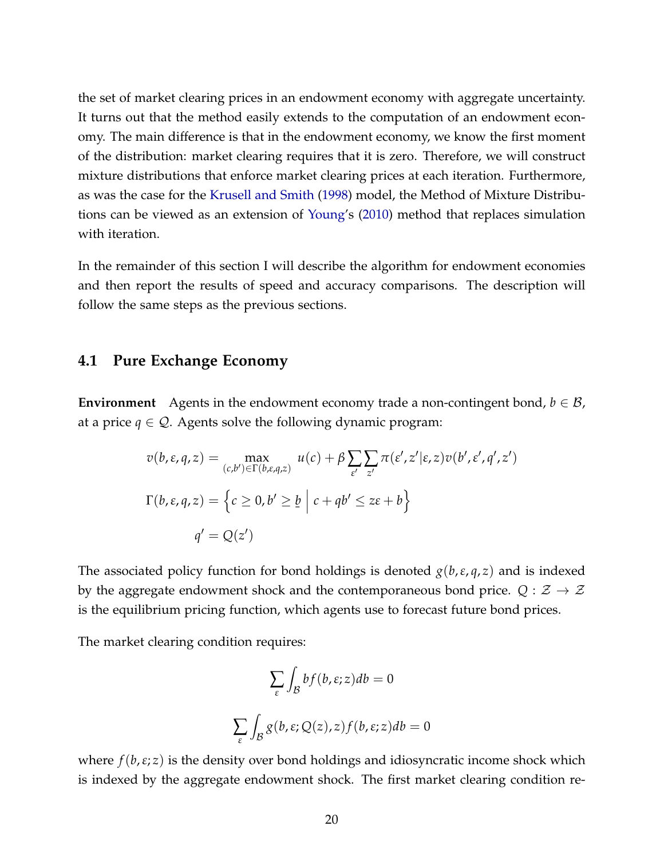the set of market clearing prices in an endowment economy with aggregate uncertainty. It turns out that the method easily extends to the computation of an endowment economy. The main difference is that in the endowment economy, we know the first moment of the distribution: market clearing requires that it is zero. Therefore, we will construct mixture distributions that enforce market clearing prices at each iteration. Furthermore, as was the case for the [Krusell and Smith](#page-28-0) [\(1998\)](#page-28-0) model, the Method of Mixture Distributions can be viewed as an extension of [Young'](#page-29-0)s [\(2010\)](#page-29-0) method that replaces simulation with iteration.

In the remainder of this section I will describe the algorithm for endowment economies and then report the results of speed and accuracy comparisons. The description will follow the same steps as the previous sections.

#### **4.1 Pure Exchange Economy**

**Environment** Agents in the endowment economy trade a non-contingent bond,  $b \in \mathcal{B}$ , at a price  $q \in \mathcal{Q}$ . Agents solve the following dynamic program:

$$
v(b, \varepsilon, q, z) = \max_{(c, b') \in \Gamma(b, \varepsilon, q, z)} u(c) + \beta \sum_{\varepsilon'} \sum_{z'} \pi(\varepsilon', z' | \varepsilon, z) v(b', \varepsilon', q', z')
$$
  

$$
\Gamma(b, \varepsilon, q, z) = \left\{ c \ge 0, b' \ge \underline{b} \mid c + qb' \le z\varepsilon + b \right\}
$$
  

$$
q' = Q(z')
$$

The associated policy function for bond holdings is denoted  $g(b,\varepsilon,q,z)$  and is indexed by the aggregate endowment shock and the contemporaneous bond price.  $Q : \mathcal{Z} \to \mathcal{Z}$ is the equilibrium pricing function, which agents use to forecast future bond prices.

The market clearing condition requires:

$$
\sum_{\varepsilon} \int_{\mathcal{B}} b f(b, \varepsilon; z) db = 0
$$
  

$$
\sum_{\varepsilon} \int_{\mathcal{B}} g(b, \varepsilon; Q(z), z) f(b, \varepsilon; z) db = 0
$$

where *f*(*b*,*ε*; *z*) is the density over bond holdings and idiosyncratic income shock which is indexed by the aggregate endowment shock. The first market clearing condition re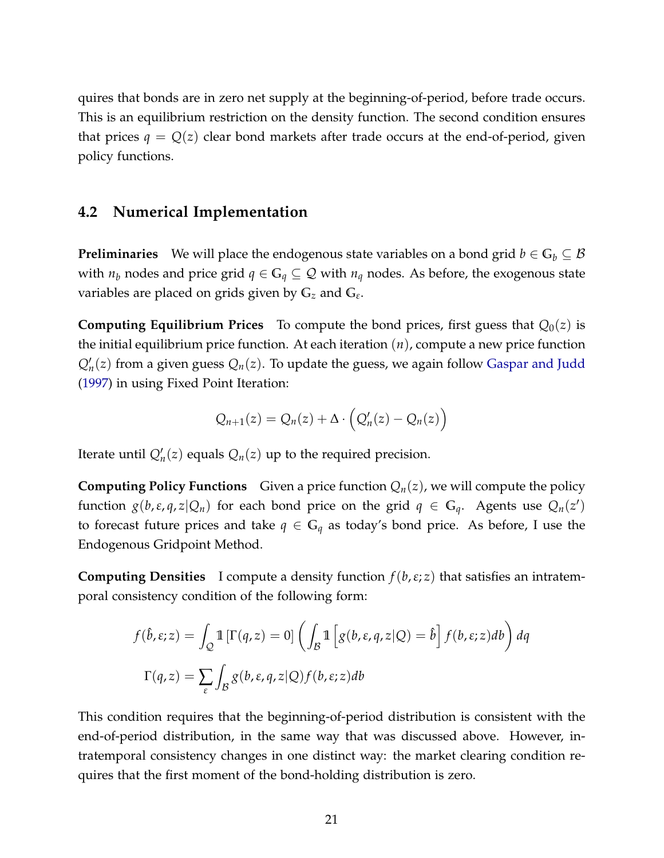quires that bonds are in zero net supply at the beginning-of-period, before trade occurs. This is an equilibrium restriction on the density function. The second condition ensures that prices  $q = Q(z)$  clear bond markets after trade occurs at the end-of-period, given policy functions.

### **4.2 Numerical Implementation**

**Preliminaries** We will place the endogenous state variables on a bond grid  $b \in G_b \subseteq B$ with  $n_b$  nodes and price grid  $q \in \mathbb{G}_q \subseteq \mathcal{Q}$  with  $n_q$  nodes. As before, the exogenous state variables are placed on grids given by **G***<sup>z</sup>* and **G***<sup>ε</sup>* .

**Computing Equilibrium Prices** To compute the bond prices, first guess that  $Q_0(z)$  is the initial equilibrium price function. At each iteration (*n*), compute a new price function  $Q'_n(z)$  from a given guess  $Q_n(z)$ . To update the guess, we again follow [Gaspar and Judd](#page-28-4) [\(1997\)](#page-28-4) in using Fixed Point Iteration:

$$
Q_{n+1}(z) = Q_n(z) + \Delta \cdot \left( Q'_n(z) - Q_n(z) \right)
$$

Iterate until  $Q'_n(z)$  equals  $Q_n(z)$  up to the required precision.

**Computing Policy Functions** Given a price function  $Q_n(z)$ , we will compute the policy function  $g(b,\varepsilon,q,z|Q_n)$  for each bond price on the grid  $q \in \mathbb{G}_q$ . Agents use  $Q_n(z')$ to forecast future prices and take  $q \in \mathbb{G}_q$  as today's bond price. As before, I use the Endogenous Gridpoint Method.

**Computing Densities** I compute a density function *f*(*b*,*ε*; *z*) that satisfies an intratemporal consistency condition of the following form:

$$
f(\hat{b}, \varepsilon; z) = \int_{Q} \mathbb{1} \left[ \Gamma(q, z) = 0 \right] \left( \int_{B} \mathbb{1} \left[ g(b, \varepsilon, q, z | Q) = \hat{b} \right] f(b, \varepsilon; z) db \right) dq
$$

$$
\Gamma(q, z) = \sum_{\varepsilon} \int_{B} g(b, \varepsilon, q, z | Q) f(b, \varepsilon; z) db
$$

This condition requires that the beginning-of-period distribution is consistent with the end-of-period distribution, in the same way that was discussed above. However, intratemporal consistency changes in one distinct way: the market clearing condition requires that the first moment of the bond-holding distribution is zero.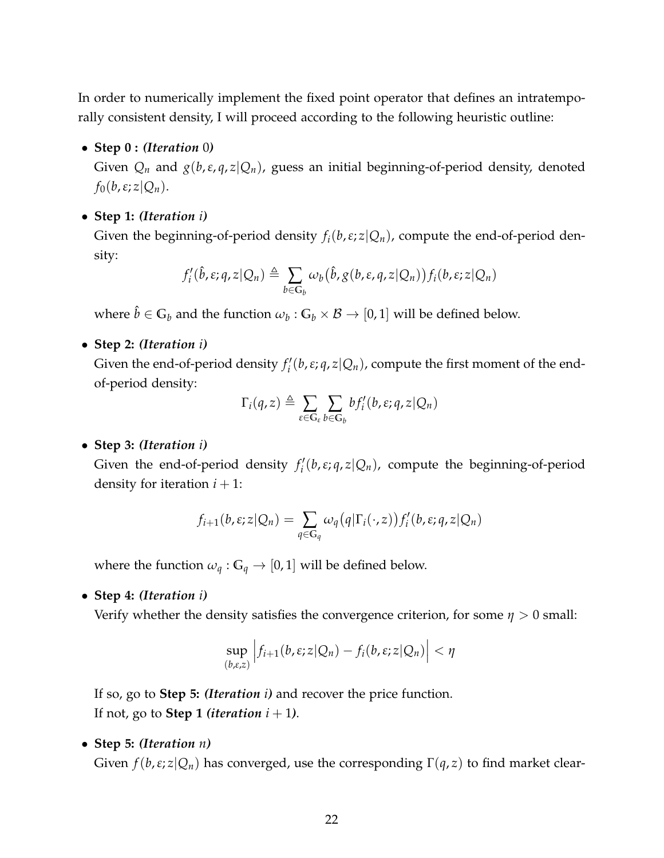In order to numerically implement the fixed point operator that defines an intratemporally consistent density, I will proceed according to the following heuristic outline:

• **Step 0 :** *(Iteration* 0*)*

Given  $Q_n$  and  $g(b, \varepsilon, q, z | Q_n)$ , guess an initial beginning-of-period density, denoted  $f_0(b,\varepsilon;z|Q_n)$ .

• **Step 1:** *(Iteration i)*

Given the beginning-of-period density  $f_i(b, \varepsilon; z|Q_n)$ , compute the end-of-period density:

$$
f'_{i}(\hat{b}, \varepsilon; q, z | Q_n) \triangleq \sum_{b \in G_b} \omega_b(\hat{b}, g(b, \varepsilon, q, z | Q_n)) f_i(b, \varepsilon; z | Q_n)
$$

where  $\hat{b} \in \mathbb{G}_b$  and the function  $\omega_b : \mathbb{G}_b \times \mathcal{B} \to [0,1]$  will be defined below.

• **Step 2:** *(Iteration i)*

Given the end-of-period density  $f_i'$ *i* (*b*,*ε*; *q*, *z*|*Qn*), compute the first moment of the endof-period density:

$$
\Gamma_i(q,z) \triangleq \sum_{\varepsilon \in \mathbb{G}_{\varepsilon}} \sum_{b \in \mathbb{G}_b} bf'_i(b,\varepsilon;q,z|Q_n)
$$

• **Step 3:** *(Iteration i)*

Given the end-of-period density  $f_i'$ *i* (*b*,*ε*; *q*, *z*|*Qn*), compute the beginning-of-period density for iteration  $i + 1$ :

$$
f_{i+1}(b,\varepsilon;z|Q_n)=\sum_{q\in\mathbb{G}_q}\omega_q(q|\Gamma_i(\cdot,z))f'_i(b,\varepsilon;q,z|Q_n)
$$

where the function  $\omega_q : \mathbb{G}_q \to [0,1]$  will be defined below.

• **Step 4:** *(Iteration i)*

Verify whether the density satisfies the convergence criterion, for some *η* > 0 small:

$$
\sup_{(b,\varepsilon,z)} \left| f_{i+1}(b,\varepsilon;z|Q_n) - f_i(b,\varepsilon;z|Q_n) \right| < \eta
$$

If so, go to **Step 5:** *(Iteration i)* and recover the price function. If not, go to **Step 1** *(iteration*  $i + 1$ *)*.

• **Step 5:** *(Iteration n)*

Given  $f(b, \varepsilon; z | Q_n)$  has converged, use the corresponding  $\Gamma(q, z)$  to find market clear-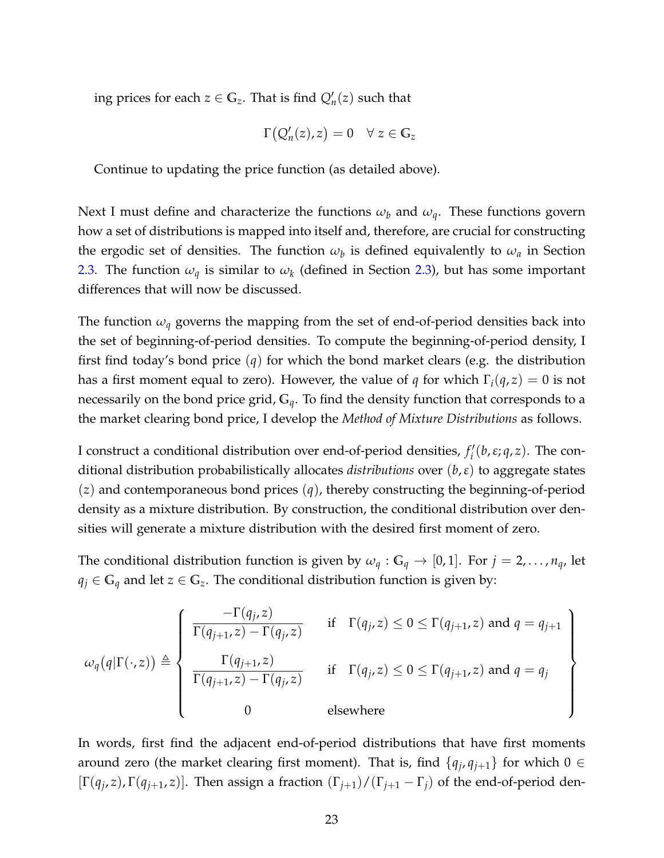ing prices for each  $z \in \mathbb{G}_z$ . That is find  $Q'_n(z)$  such that

$$
\Gamma\big(Q'_n(z),z\big)=0 \quad \forall \; z\in \mathbb{G}_z
$$

Continue to updating the price function (as detailed above).

Next I must define and characterize the functions  $\omega_b$  and  $\omega_q$ . These functions govern how a set of distributions is mapped into itself and, therefore, are crucial for constructing the ergodic set of densities. The function  $\omega_b$  is defined equivalently to  $\omega_a$  in Section [2.3.](#page-8-0) The function *ω<sup>q</sup>* is similar to *ω<sup>k</sup>* (defined in Section [2.3\)](#page-8-0), but has some important differences that will now be discussed.

The function  $\omega_q$  governs the mapping from the set of end-of-period densities back into the set of beginning-of-period densities. To compute the beginning-of-period density, I first find today's bond price (*q*) for which the bond market clears (e.g. the distribution has a first moment equal to zero). However, the value of *q* for which  $\Gamma_i(q, z) = 0$  is not necessarily on the bond price grid, **G***q*. To find the density function that corresponds to a the market clearing bond price, I develop the *Method of Mixture Distributions* as follows.

I construct a conditional distribution over end-of-period densities,  $f_i'$ *i* (*b*,*ε*; *q*, *z*). The conditional distribution probabilistically allocates *distributions* over (*b*,*ε*) to aggregate states (*z*) and contemporaneous bond prices (*q*), thereby constructing the beginning-of-period density as a mixture distribution. By construction, the conditional distribution over densities will generate a mixture distribution with the desired first moment of zero.

The conditional distribution function is given by  $\omega_q : G_q \to [0,1]$ . For  $j = 2, \ldots, n_q$ , let *q*<sup>*j*</sup> ∈  $G$ <sup>*q*</sup> and let *z* ∈  $G$ <sup>*z*</sup>. The conditional distribution function is given by:

$$
\omega_q(q|\Gamma(\cdot,z)) \triangleq \left\{\begin{array}{ll}\frac{-\Gamma(q_j,z)}{\Gamma(q_{j+1},z)-\Gamma(q_j,z)} & \text{if} \quad \Gamma(q_j,z) \leq 0 \leq \Gamma(q_{j+1},z) \text{ and } q = q_{j+1} \\ \frac{\Gamma(q_{j+1},z)}{\Gamma(q_{j+1},z)-\Gamma(q_j,z)} & \text{if} \quad \Gamma(q_j,z) \leq 0 \leq \Gamma(q_{j+1},z) \text{ and } q = q_j \\ 0 & \text{elsewhere}\end{array}\right\}
$$

In words, first find the adjacent end-of-period distributions that have first moments around zero (the market clearing first moment). That is, find  $\{q_j, q_{j+1}\}\$  for which  $0 \in$  $[\Gamma(q_j, z), \Gamma(q_{j+1}, z)]$ . Then assign a fraction  $(\Gamma_{j+1})/(\Gamma_{j+1} - \Gamma_j)$  of the end-of-period den-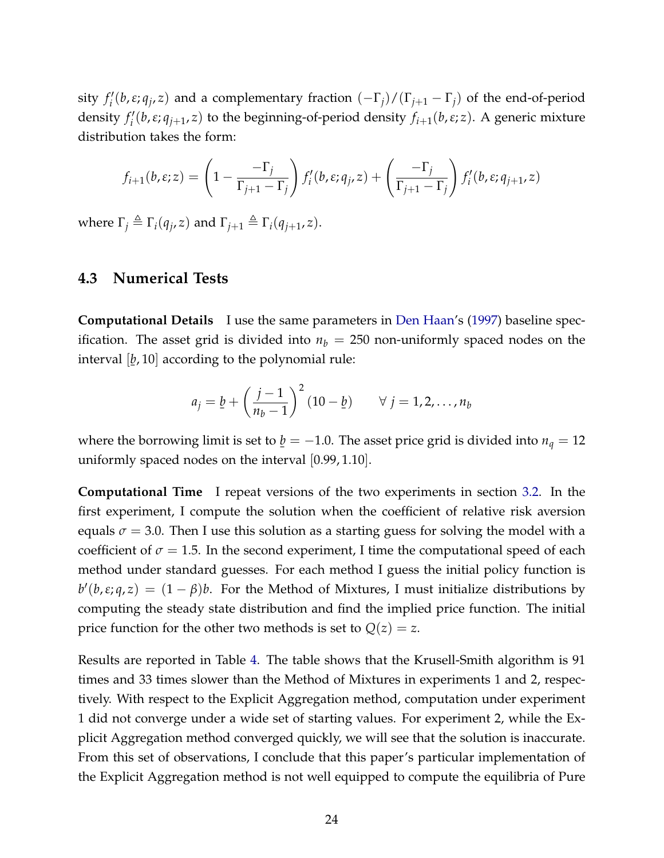sity  $f_i'$ *i* (*b*,*ε*; *q<sup>j</sup>* , *z*) and a complementary fraction (−Γ*j*)/(Γ*j*+<sup>1</sup> − Γ*j*) of the end-of-period density  $f_i'$ *i* (*b*,*ε*; *qj*+<sup>1</sup> , *z*) to the beginning-of-period density *fi*+1(*b*,*ε*; *z*). A generic mixture distribution takes the form:

$$
f_{i+1}(b,\varepsilon;z) = \left(1 - \frac{-\Gamma_j}{\Gamma_{j+1} - \Gamma_j}\right) f'_i(b,\varepsilon;q_j,z) + \left(\frac{-\Gamma_j}{\Gamma_{j+1} - \Gamma_j}\right) f'_i(b,\varepsilon;q_{j+1},z)
$$

where  $\Gamma_j \triangleq \Gamma_i(q_j, z)$  and  $\Gamma_{j+1} \triangleq \Gamma_i(q_{j+1}, z)$ .

#### **4.3 Numerical Tests**

**Computational Details** I use the same parameters in [Den Haan'](#page-28-10)s [\(1997\)](#page-28-10) baseline specification. The asset grid is divided into  $n<sub>b</sub> = 250$  non-uniformly spaced nodes on the interval [ *b*, 10] according to the polynomial rule: ¯

$$
a_j = \underline{b} + \left(\frac{j-1}{n_b-1}\right)^2 (10 - \underline{b}) \qquad \forall \ j = 1, 2, ..., n_b
$$

where the borrowing limit is set to  $\underline{b} = -1.0$ . The asset price grid is divided into  $n_q = 12$ ¯ uniformly spaced nodes on the interval [0.99, 1.10].

**Computational Time** I repeat versions of the two experiments in section [3.2.](#page-15-0) In the first experiment, I compute the solution when the coefficient of relative risk aversion equals  $\sigma$  = 3.0. Then I use this solution as a starting guess for solving the model with a coefficient of  $\sigma = 1.5$ . In the second experiment, I time the computational speed of each method under standard guesses. For each method I guess the initial policy function is  $b'(b,\varepsilon;q,z) = (1 - \beta)b$ . For the Method of Mixtures, I must initialize distributions by computing the steady state distribution and find the implied price function. The initial price function for the other two methods is set to  $Q(z) = z$ .

Results are reported in Table [4.](#page-25-0) The table shows that the Krusell-Smith algorithm is 91 times and 33 times slower than the Method of Mixtures in experiments 1 and 2, respectively. With respect to the Explicit Aggregation method, computation under experiment 1 did not converge under a wide set of starting values. For experiment 2, while the Explicit Aggregation method converged quickly, we will see that the solution is inaccurate. From this set of observations, I conclude that this paper's particular implementation of the Explicit Aggregation method is not well equipped to compute the equilibria of Pure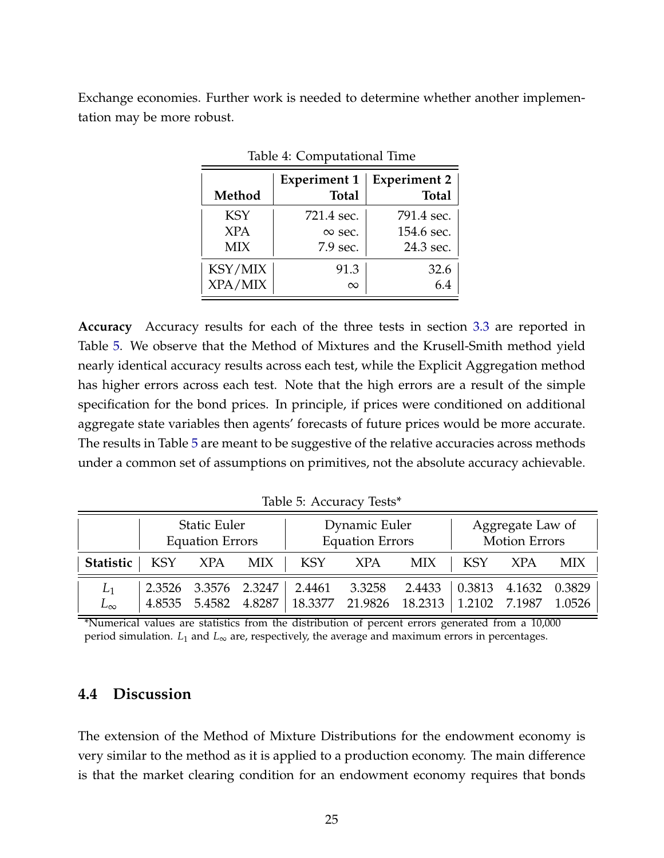Exchange economies. Further work is needed to determine whether another implementation may be more robust.

|            | <b>Experiment 1</b> | <b>Experiment 2</b> |
|------------|---------------------|---------------------|
| Method     | <b>Total</b>        | <b>Total</b>        |
| <b>KSY</b> | 721.4 sec.          | 791.4 sec.          |
| <b>XPA</b> | $\infty$ sec.       | 154.6 sec.          |
| <b>MIX</b> | 7.9 sec.            | 24.3 sec.           |
| KSY/MIX    | 91.3                | 32.6                |
| XPA/MIX    | $\infty$            |                     |

<span id="page-25-0"></span>Table 4: Computational Time

**Accuracy** Accuracy results for each of the three tests in section [3.3](#page-17-1) are reported in Table [5.](#page-25-1) We observe that the Method of Mixtures and the Krusell-Smith method yield nearly identical accuracy results across each test, while the Explicit Aggregation method has higher errors across each test. Note that the high errors are a result of the simple specification for the bond prices. In principle, if prices were conditioned on additional aggregate state variables then agents' forecasts of future prices would be more accurate. The results in Table [5](#page-25-1) are meant to be suggestive of the relative accuracies across methods under a common set of assumptions on primitives, not the absolute accuracy achievable.

Static Euler Fuller Dynamic Euler Aggregate Law of Equation Errors | Equation Errors | Motion Errors **Statistic** | KSY XPA MIX | KSY XPA MIX | KSY XPA MIX *L*<sup>1</sup> 2.3526 3.3576 2.3247 2.4461 3.3258 2.4433 0.3813 4.1632 0.3829 *L*∞ 4.8535 5.4582 4.8287 18.3377 21.9826 18.2313 1.2102 7.1987 1.0526

<span id="page-25-1"></span>Table 5: Accuracy Tests\*

\*Numerical values are statistics from the distribution of percent errors generated from a 10,000 period simulation. *L*<sup>1</sup> and *L*<sup>∞</sup> are, respectively, the average and maximum errors in percentages.

### **4.4 Discussion**

The extension of the Method of Mixture Distributions for the endowment economy is very similar to the method as it is applied to a production economy. The main difference is that the market clearing condition for an endowment economy requires that bonds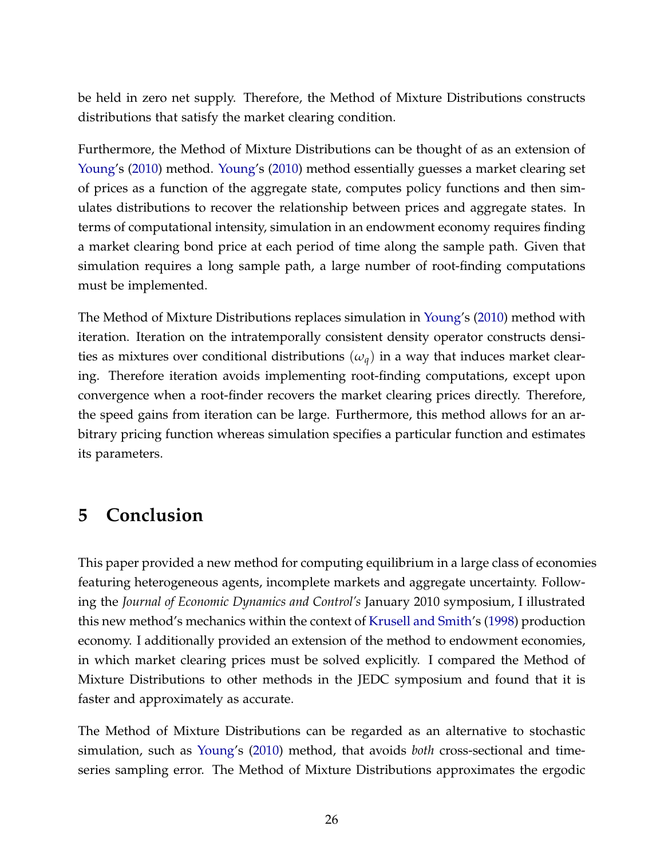be held in zero net supply. Therefore, the Method of Mixture Distributions constructs distributions that satisfy the market clearing condition.

Furthermore, the Method of Mixture Distributions can be thought of as an extension of [Young'](#page-29-0)s [\(2010\)](#page-29-0) method. [Young'](#page-29-0)s [\(2010\)](#page-29-0) method essentially guesses a market clearing set of prices as a function of the aggregate state, computes policy functions and then simulates distributions to recover the relationship between prices and aggregate states. In terms of computational intensity, simulation in an endowment economy requires finding a market clearing bond price at each period of time along the sample path. Given that simulation requires a long sample path, a large number of root-finding computations must be implemented.

The Method of Mixture Distributions replaces simulation in [Young'](#page-29-0)s [\(2010\)](#page-29-0) method with iteration. Iteration on the intratemporally consistent density operator constructs densities as mixtures over conditional distributions  $(\omega_q)$  in a way that induces market clearing. Therefore iteration avoids implementing root-finding computations, except upon convergence when a root-finder recovers the market clearing prices directly. Therefore, the speed gains from iteration can be large. Furthermore, this method allows for an arbitrary pricing function whereas simulation specifies a particular function and estimates its parameters.

## **5 Conclusion**

This paper provided a new method for computing equilibrium in a large class of economies featuring heterogeneous agents, incomplete markets and aggregate uncertainty. Following the *Journal of Economic Dynamics and Control's* January 2010 symposium, I illustrated this new method's mechanics within the context of [Krusell and Smith'](#page-28-0)s [\(1998\)](#page-28-0) production economy. I additionally provided an extension of the method to endowment economies, in which market clearing prices must be solved explicitly. I compared the Method of Mixture Distributions to other methods in the JEDC symposium and found that it is faster and approximately as accurate.

The Method of Mixture Distributions can be regarded as an alternative to stochastic simulation, such as [Young'](#page-29-0)s [\(2010\)](#page-29-0) method, that avoids *both* cross-sectional and timeseries sampling error. The Method of Mixture Distributions approximates the ergodic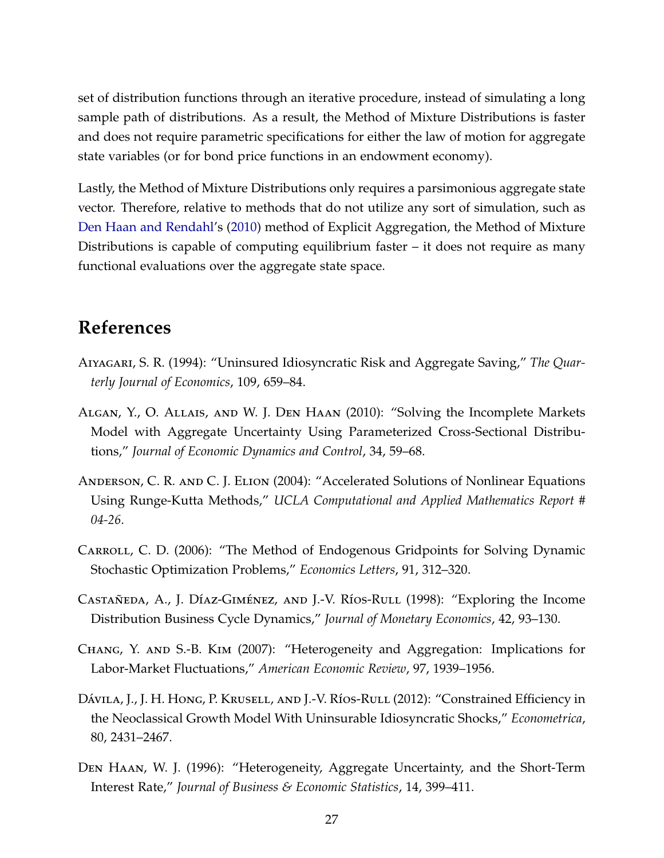set of distribution functions through an iterative procedure, instead of simulating a long sample path of distributions. As a result, the Method of Mixture Distributions is faster and does not require parametric specifications for either the law of motion for aggregate state variables (or for bond price functions in an endowment economy).

Lastly, the Method of Mixture Distributions only requires a parsimonious aggregate state vector. Therefore, relative to methods that do not utilize any sort of simulation, such as [Den Haan and Rendahl'](#page-28-8)s [\(2010\)](#page-28-8) method of Explicit Aggregation, the Method of Mixture Distributions is capable of computing equilibrium faster – it does not require as many functional evaluations over the aggregate state space.

## **References**

- <span id="page-27-1"></span>Aiyagari, S. R. (1994): "Uninsured Idiosyncratic Risk and Aggregate Saving," *The Quarterly Journal of Economics*, 109, 659–84.
- <span id="page-27-5"></span>Algan, Y., O. Allais, and W. J. Den Haan (2010): "Solving the Incomplete Markets Model with Aggregate Uncertainty Using Parameterized Cross-Sectional Distributions," *Journal of Economic Dynamics and Control*, 34, 59–68.
- Anderson, C. R. and C. J. Elion (2004): "Accelerated Solutions of Nonlinear Equations Using Runge-Kutta Methods," *UCLA Computational and Applied Mathematics Report # 04-26*.
- <span id="page-27-4"></span>Carroll, C. D. (2006): "The Method of Endogenous Gridpoints for Solving Dynamic Stochastic Optimization Problems," *Economics Letters*, 91, 312–320.
- <span id="page-27-3"></span>Castañeda, A., J. Díaz-Giménez, and J.-V. Ríos-Rull (1998): "Exploring the Income Distribution Business Cycle Dynamics," *Journal of Monetary Economics*, 42, 93–130.
- <span id="page-27-6"></span>Chang, Y. and S.-B. Kim (2007): "Heterogeneity and Aggregation: Implications for Labor-Market Fluctuations," *American Economic Review*, 97, 1939–1956.
- <span id="page-27-0"></span>Dávila, J., J. H. Hong, P. Krusell, and J.-V. Ríos-Rull (2012): "Constrained Efficiency in the Neoclassical Growth Model With Uninsurable Idiosyncratic Shocks," *Econometrica*, 80, 2431–2467.
- <span id="page-27-2"></span>Den Haan, W. J. (1996): "Heterogeneity, Aggregate Uncertainty, and the Short-Term Interest Rate," *Journal of Business & Economic Statistics*, 14, 399–411.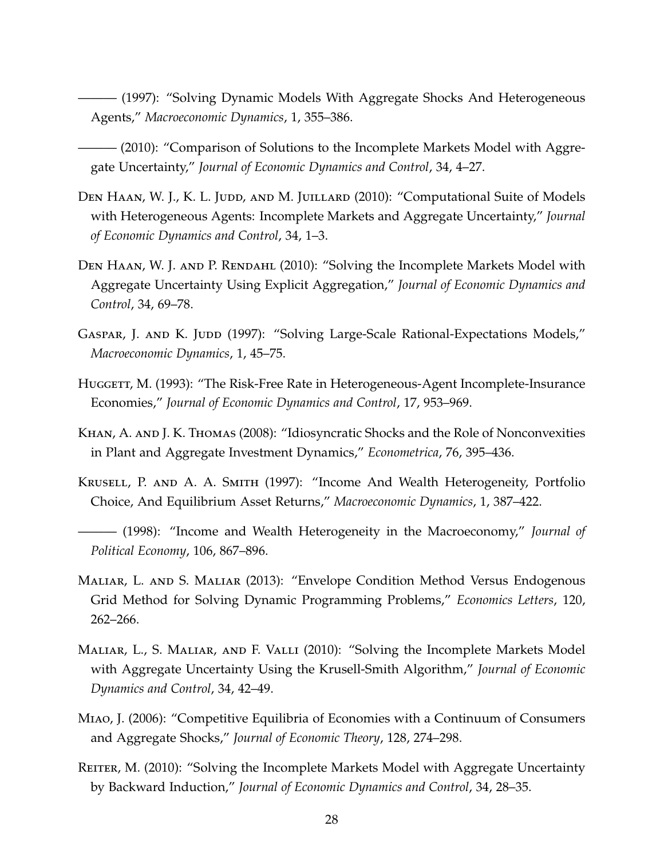- <span id="page-28-10"></span>——— (1997): "Solving Dynamic Models With Aggregate Shocks And Heterogeneous Agents," *Macroeconomic Dynamics*, 1, 355–386.
- <span id="page-28-7"></span>——— (2010): "Comparison of Solutions to the Incomplete Markets Model with Aggregate Uncertainty," *Journal of Economic Dynamics and Control*, 34, 4–27.
- <span id="page-28-2"></span>DEN HAAN, W. J., K. L. JUDD, AND M. JUILLARD (2010): "Computational Suite of Models with Heterogeneous Agents: Incomplete Markets and Aggregate Uncertainty," *Journal of Economic Dynamics and Control*, 34, 1–3.
- <span id="page-28-8"></span>DEN HAAN, W. J. AND P. RENDAHL (2010): "Solving the Incomplete Markets Model with Aggregate Uncertainty Using Explicit Aggregation," *Journal of Economic Dynamics and Control*, 34, 69–78.
- <span id="page-28-4"></span>GASPAR, J. AND K. JUDD (1997): "Solving Large-Scale Rational-Expectations Models," *Macroeconomic Dynamics*, 1, 45–75.
- <span id="page-28-6"></span>HUGGETT, M. (1993): "The Risk-Free Rate in Heterogeneous-Agent Incomplete-Insurance Economies," *Journal of Economic Dynamics and Control*, 17, 953–969.
- <span id="page-28-12"></span>Khan, A. and J. K. Thomas (2008): "Idiosyncratic Shocks and the Role of Nonconvexities in Plant and Aggregate Investment Dynamics," *Econometrica*, 76, 395–436.
- <span id="page-28-11"></span>Krusell, P. and A. A. Smith (1997): "Income And Wealth Heterogeneity, Portfolio Choice, And Equilibrium Asset Returns," *Macroeconomic Dynamics*, 1, 387–422.
- <span id="page-28-0"></span>——— (1998): "Income and Wealth Heterogeneity in the Macroeconomy," *Journal of Political Economy*, 106, 867–896.
- <span id="page-28-5"></span>Maliar, L. and S. Maliar (2013): "Envelope Condition Method Versus Endogenous Grid Method for Solving Dynamic Programming Problems," *Economics Letters*, 120, 262–266.
- <span id="page-28-9"></span>Maliar, L., S. Maliar, and F. Valli (2010): "Solving the Incomplete Markets Model with Aggregate Uncertainty Using the Krusell-Smith Algorithm," *Journal of Economic Dynamics and Control*, 34, 42–49.
- <span id="page-28-3"></span>Miao, J. (2006): "Competitive Equilibria of Economies with a Continuum of Consumers and Aggregate Shocks," *Journal of Economic Theory*, 128, 274–298.
- <span id="page-28-1"></span>REITER, M. (2010): "Solving the Incomplete Markets Model with Aggregate Uncertainty by Backward Induction," *Journal of Economic Dynamics and Control*, 34, 28–35.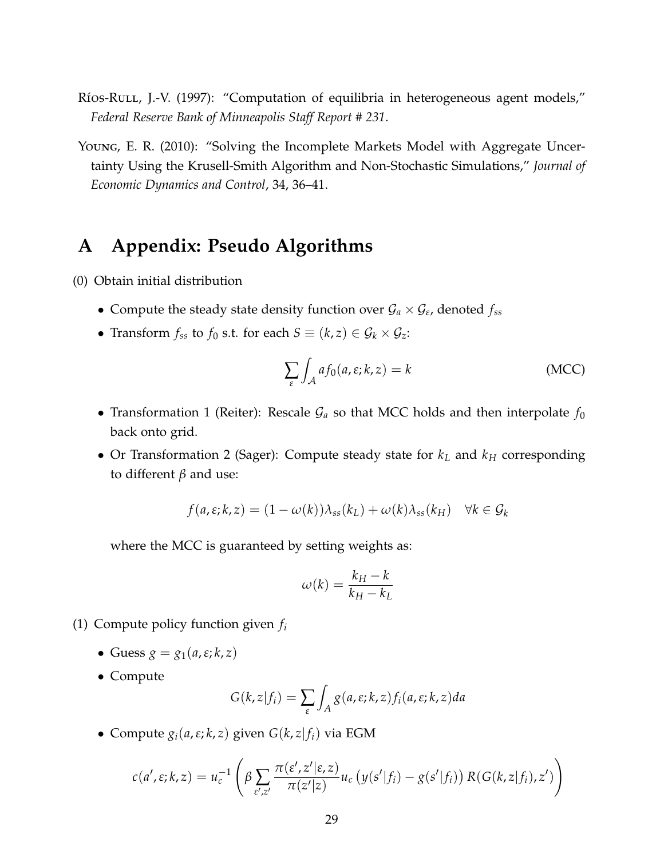- <span id="page-29-1"></span>Ríos-Rull, J.-V. (1997): "Computation of equilibria in heterogeneous agent models," *Federal Reserve Bank of Minneapolis Staff Report # 231*.
- <span id="page-29-0"></span>Young, E. R. (2010): "Solving the Incomplete Markets Model with Aggregate Uncertainty Using the Krusell-Smith Algorithm and Non-Stochastic Simulations," *Journal of Economic Dynamics and Control*, 34, 36–41.

## **A Appendix: Pseudo Algorithms**

- (0) Obtain initial distribution
	- Compute the steady state density function over  $\mathcal{G}_a \times \mathcal{G}_e$ , denoted  $f_{ss}$
	- Transform  $f_{ss}$  to  $f_0$  s.t. for each  $S \equiv (k, z) \in \mathcal{G}_k \times \mathcal{G}_z$ :

$$
\sum_{\varepsilon} \int_{\mathcal{A}} af_0(a, \varepsilon; k, z) = k \tag{MCC}
$$

- Transformation 1 (Reiter): Rescale  $\mathcal{G}_a$  so that MCC holds and then interpolate  $f_0$ back onto grid.
- Or Transformation 2 (Sager): Compute steady state for *k<sup>L</sup>* and *k<sup>H</sup>* corresponding to different *β* and use:

$$
f(a, \varepsilon; k, z) = (1 - \omega(k))\lambda_{ss}(k_L) + \omega(k)\lambda_{ss}(k_H) \quad \forall k \in \mathcal{G}_k
$$

where the MCC is guaranteed by setting weights as:

$$
\omega(k) = \frac{k_H - k}{k_H - k_L}
$$

- (1) Compute policy function given *f<sup>i</sup>*
	- Guess  $g = g_1(a, \varepsilon; k, z)$
	- Compute

$$
G(k, z|f_i) = \sum_{\varepsilon} \int_A g(a, \varepsilon; k, z) f_i(a, \varepsilon; k, z) da
$$

• Compute  $g_i(a, \varepsilon; k, z)$  given  $G(k, z|f_i)$  via EGM

$$
c(a',\varepsilon;k,z) = u_c^{-1}\left(\beta \sum_{\varepsilon',z'} \frac{\pi(\varepsilon',z'|\varepsilon,z)}{\pi(z'|z)} u_c\left(y(s'|f_i) - g(s'|f_i)\right) R(G(k,z|f_i),z')\right)
$$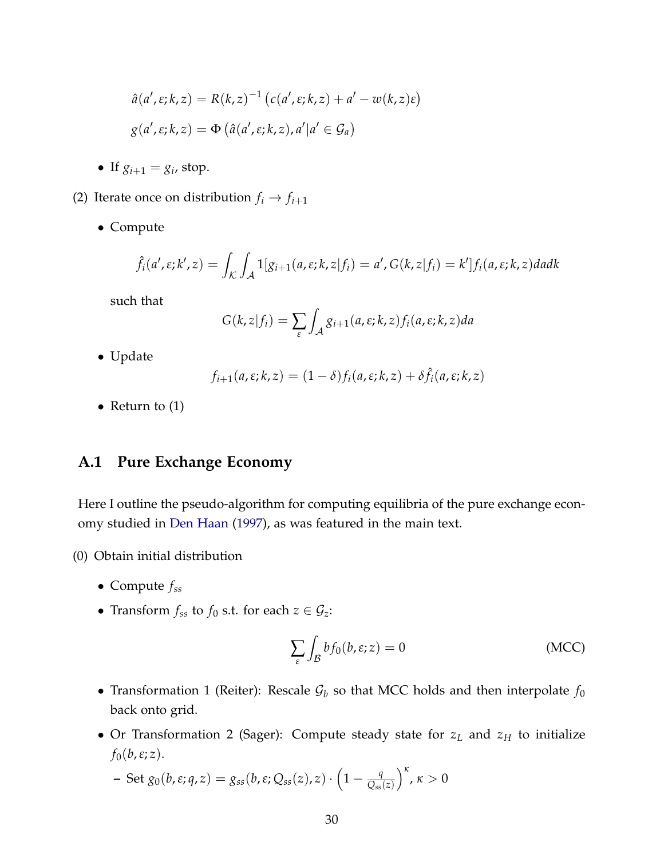$$
\hat{a}(a', \varepsilon; k, z) = R(k, z)^{-1} (c(a', \varepsilon; k, z) + a' - w(k, z)\varepsilon)
$$
  

$$
g(a', \varepsilon; k, z) = \Phi (\hat{a}(a', \varepsilon; k, z), a'|a' \in \mathcal{G}_a)
$$

- If  $g_{i+1} = g_i$ , stop.
- (2) Iterate once on distribution  $f_i \rightarrow f_{i+1}$ 
	- Compute

$$
\hat{f}_i(a',\varepsilon;k',z) = \int_{\mathcal{K}} \int_{\mathcal{A}} 1[g_{i+1}(a,\varepsilon;k,z|f_i) = a', G(k,z|f_i) = k'] f_i(a,\varepsilon;k,z) da dk
$$

such that

$$
G(k, z|f_i) = \sum_{\varepsilon} \int_{\mathcal{A}} g_{i+1}(a, \varepsilon; k, z) f_i(a, \varepsilon; k, z) da
$$

• Update

$$
f_{i+1}(a,\varepsilon;k,z)=(1-\delta)f_i(a,\varepsilon;k,z)+\delta \hat{f}_i(a,\varepsilon;k,z)
$$

• Return to (1)

### **A.1 Pure Exchange Economy**

Here I outline the pseudo-algorithm for computing equilibria of the pure exchange economy studied in [Den Haan](#page-28-10) [\(1997\)](#page-28-10), as was featured in the main text.

- (0) Obtain initial distribution
	- Compute *fss*
	- Transform  $f_{ss}$  to  $f_0$  s.t. for each  $z \in \mathcal{G}_z$ :

$$
\sum_{\varepsilon} \int_{\mathcal{B}} b f_0(b, \varepsilon; z) = 0 \tag{MCC}
$$

- Transformation 1 (Reiter): Rescale  $G_b$  so that MCC holds and then interpolate  $f_0$ back onto grid.
- Or Transformation 2 (Sager): Compute steady state for *z<sup>L</sup>* and *z<sup>H</sup>* to initialize  $f_0(b,\varepsilon;z)$ .

$$
- \operatorname{Set} g_0(b,\varepsilon;q,z) = g_{ss}(b,\varepsilon;Q_{ss}(z),z) \cdot \left(1 - \frac{q}{Q_{ss}(z)}\right)^{\kappa}, \kappa > 0
$$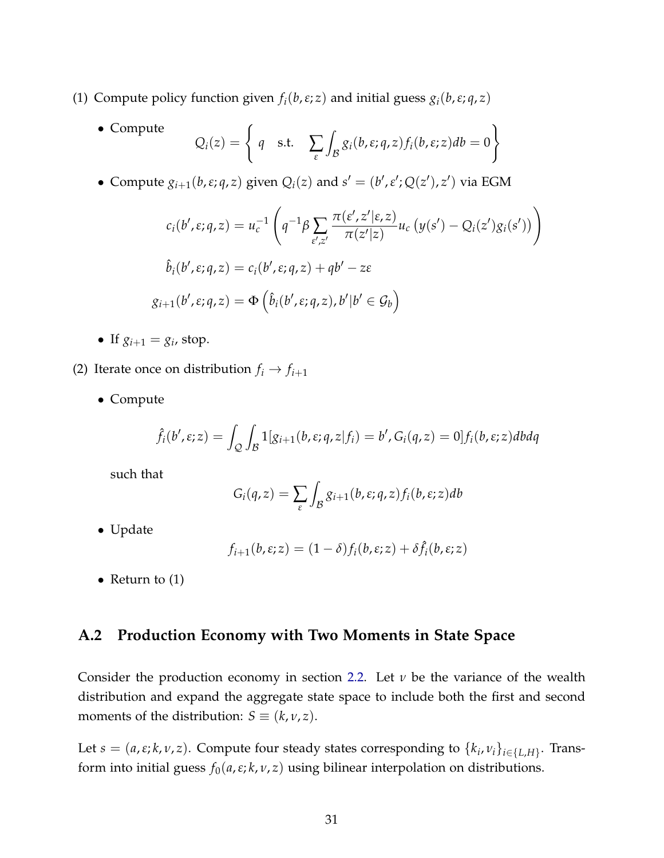- (1) Compute policy function given  $f_i(b,\varepsilon;z)$  and initial guess  $g_i(b,\varepsilon;q,z)$ 
	- Compute  $Q_i(z) = \begin{cases}$ *q* s.t.  $\sum_{\varepsilon}$  $\int_{\mathcal{B}} g_i(b,\varepsilon;q,z) f_i(b,\varepsilon;z) db = 0$  $\mathcal{L}$

• Compute  $g_{i+1}(b, \varepsilon; q, z)$  given  $Q_i(z)$  and  $s' = (b', \varepsilon'; Q(z'), z')$  via EGM

$$
c_i(b', \varepsilon; q, z) = u_c^{-1} \left( q^{-1} \beta \sum_{\varepsilon', z'} \frac{\pi(\varepsilon', z' | \varepsilon, z)}{\pi(z' | z)} u_c (y(s') - Q_i(z') g_i(s')) \right)
$$
  

$$
\hat{b}_i(b', \varepsilon; q, z) = c_i(b', \varepsilon; q, z) + qb' - z\varepsilon
$$
  

$$
g_{i+1}(b', \varepsilon; q, z) = \Phi \left( \hat{b}_i(b', \varepsilon; q, z), b' | b' \in \mathcal{G}_b \right)
$$

- If  $g_{i+1} = g_i$ , stop.
- (2) Iterate once on distribution  $f_i \rightarrow f_{i+1}$ 
	- Compute

$$
\hat{f}_i(b',\varepsilon;z) = \int_{Q} \int_{B} 1[g_{i+1}(b,\varepsilon;q,z|f_i) = b', G_i(q,z) = 0] f_i(b,\varepsilon;z) dbdq
$$

such that

$$
G_i(q,z) = \sum_{\varepsilon} \int_{\mathcal{B}} g_{i+1}(b,\varepsilon;q,z) f_i(b,\varepsilon;z) db
$$

• Update

$$
f_{i+1}(b,\varepsilon;z) = (1-\delta)f_i(b,\varepsilon;z) + \delta \hat{f}_i(b,\varepsilon;z)
$$

• Return to  $(1)$ 

### **A.2 Production Economy with Two Moments in State Space**

Consider the production economy in section [2.2.](#page-5-0) Let *ν* be the variance of the wealth distribution and expand the aggregate state space to include both the first and second moments of the distribution: *S*  $\equiv$  (*k*, *v*, *z*).

Let  $s = (a, \varepsilon; k, \nu, z)$ . Compute four steady states corresponding to  $\{k_i, \nu_i\}_{i \in \{L, H\}}$ . Transform into initial guess  $f_0(a, \varepsilon; k, \nu, z)$  using bilinear interpolation on distributions.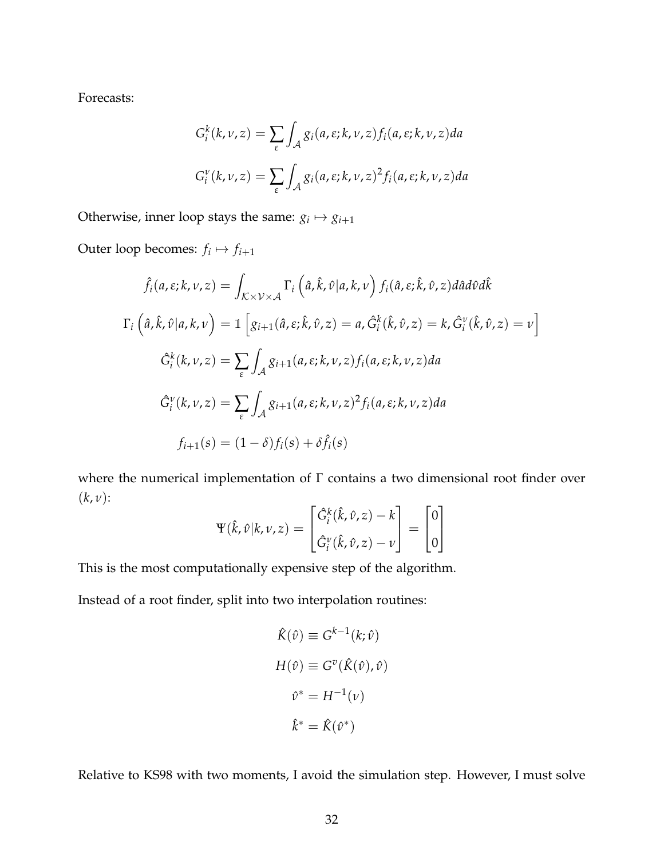Forecasts:

$$
G_i^k(k, \nu, z) = \sum_{\varepsilon} \int_{\mathcal{A}} g_i(a, \varepsilon; k, \nu, z) f_i(a, \varepsilon; k, \nu, z) da
$$
  

$$
G_i^{\nu}(k, \nu, z) = \sum_{\varepsilon} \int_{\mathcal{A}} g_i(a, \varepsilon; k, \nu, z)^2 f_i(a, \varepsilon; k, \nu, z) da
$$

Otherwise, inner loop stays the same:  $g_i \mapsto g_{i+1}$ 

Outer loop becomes:  $f_i \mapsto f_{i+1}$ 

$$
\hat{f}_i(a,\varepsilon;k,\nu,z) = \int_{\mathcal{K}\times\mathcal{V}\times\mathcal{A}} \Gamma_i(\hat{a},\hat{k},\hat{\nu}|a,k,\nu) f_i(\hat{a},\varepsilon;\hat{k},\hat{\nu},z) d\hat{a}d\hat{\nu}d\hat{k}
$$
  

$$
\Gamma_i(\hat{a},\hat{k},\hat{\nu}|a,k,\nu) = \mathbb{1}\left[g_{i+1}(\hat{a},\varepsilon;\hat{k},\hat{\nu},z) = a, \hat{G}_i^k(\hat{k},\hat{\nu},z) = k, \hat{G}_i^v(\hat{k},\hat{\nu},z) = \nu\right]
$$
  

$$
\hat{G}_i^k(k,\nu,z) = \sum_{\varepsilon} \int_{\mathcal{A}} g_{i+1}(a,\varepsilon;k,\nu,z) f_i(a,\varepsilon;k,\nu,z) da
$$
  

$$
\hat{G}_i^v(k,\nu,z) = \sum_{\varepsilon} \int_{\mathcal{A}} g_{i+1}(a,\varepsilon;k,\nu,z)^2 f_i(a,\varepsilon;k,\nu,z) da
$$
  

$$
f_{i+1}(s) = (1-\delta)f_i(s) + \delta \hat{f}_i(s)
$$

where the numerical implementation of Γ contains a two dimensional root finder over (*k*, *ν*):

$$
\Psi(\hat{k},\hat{\nu}|k,\nu,z) = \begin{bmatrix} \hat{G}_i^k(\hat{k},\hat{\nu},z) - k \\ \hat{G}_i^{\nu}(\hat{k},\hat{\nu},z) - \nu \end{bmatrix} = \begin{bmatrix} 0 \\ 0 \end{bmatrix}
$$

This is the most computationally expensive step of the algorithm.

Instead of a root finder, split into two interpolation routines:

$$
\hat{K}(\hat{v}) \equiv G^{k-1}(k; \hat{v})
$$

$$
H(\hat{v}) \equiv G^v(\hat{K}(\hat{v}), \hat{v})
$$

$$
\hat{v}^* = H^{-1}(v)
$$

$$
\hat{k}^* = \hat{K}(\hat{v}^*)
$$

Relative to KS98 with two moments, I avoid the simulation step. However, I must solve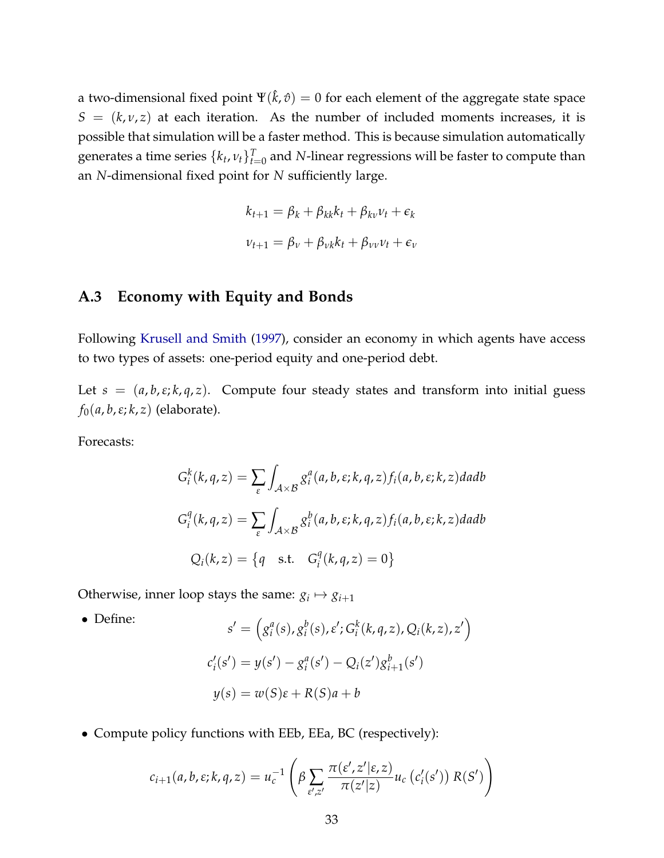a two-dimensional fixed point  $\Psi(\hat k,\hat v)=0$  for each element of the aggregate state space  $S = (k, v, z)$  at each iteration. As the number of included moments increases, it is possible that simulation will be a faster method. This is because simulation automatically generates a time series  $\{k_t,\nu_t\}_{t=0}^T$  and  $N$ -linear regressions will be faster to compute than an *N*-dimensional fixed point for *N* sufficiently large.

$$
k_{t+1} = \beta_k + \beta_{kk}k_t + \beta_{kv}\nu_t + \epsilon_k
$$
  

$$
\nu_{t+1} = \beta_{\nu} + \beta_{\nu k}k_t + \beta_{\nu\nu}\nu_t + \epsilon_{\nu}
$$

### **A.3 Economy with Equity and Bonds**

Following [Krusell and Smith](#page-28-11) [\(1997\)](#page-28-11), consider an economy in which agents have access to two types of assets: one-period equity and one-period debt.

Let  $s = (a, b, \varepsilon; k, q, z)$ . Compute four steady states and transform into initial guess *f*0(*a*, *b*,*ε*; *k*, *z*) (elaborate).

Forecasts:

$$
G_i^k(k, q, z) = \sum_{\varepsilon} \int_{A \times B} g_i^a(a, b, \varepsilon; k, q, z) f_i(a, b, \varepsilon; k, z) da db
$$
  

$$
G_i^q(k, q, z) = \sum_{\varepsilon} \int_{A \times B} g_i^b(a, b, \varepsilon; k, q, z) f_i(a, b, \varepsilon; k, z) da db
$$
  

$$
Q_i(k, z) = \{q \text{ s.t. } G_i^q(k, q, z) = 0\}
$$

Otherwise, inner loop stays the same:  $g_i \mapsto g_{i+1}$ 

• Define:  
\n
$$
s' = (g_i^a(s), g_i^b(s), \varepsilon'; G_i^k(k, q, z), Q_i(k, z), z')
$$
\n
$$
c_i'(s') = y(s') - g_i^a(s') - Q_i(z')g_{i+1}^b(s')
$$
\n
$$
y(s) = w(S)\varepsilon + R(S)a + b
$$

• Compute policy functions with EEb, EEa, BC (respectively):

$$
c_{i+1}(a,b,\varepsilon;k,q,z) = u_c^{-1}\left(\beta \sum_{\varepsilon',z'} \frac{\pi(\varepsilon',z'|\varepsilon,z)}{\pi(z'|z)} u_c\left(c_i'(s')\right) R(S')\right)
$$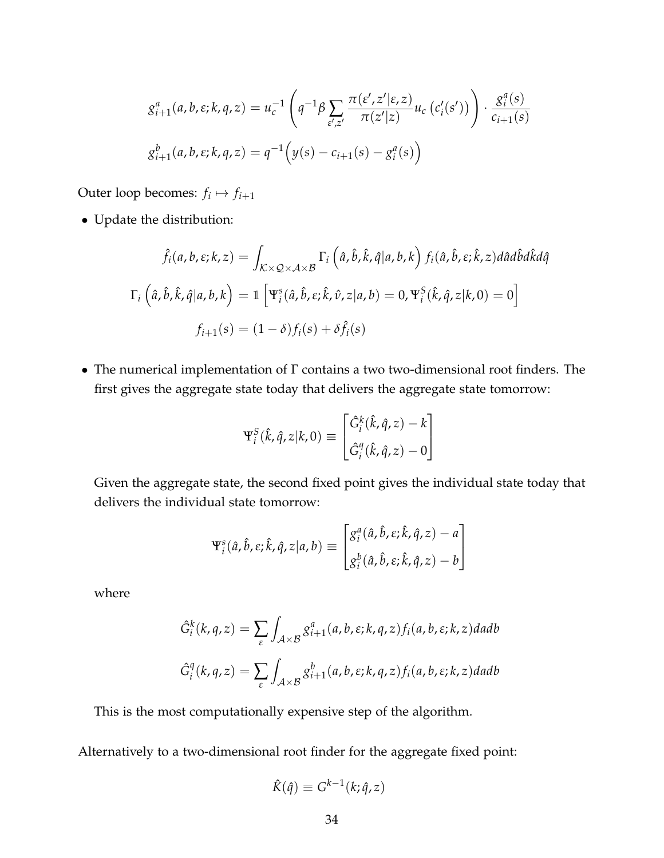$$
g_{i+1}^a(a,b,\varepsilon;k,q,z) = u_c^{-1} \left( q^{-1} \beta \sum_{\varepsilon',z'} \frac{\pi(\varepsilon',z'|\varepsilon,z)}{\pi(z'|z)} u_c \left( c_i'(s') \right) \right) \cdot \frac{g_i^a(s)}{c_{i+1}(s)}
$$

$$
g_{i+1}^b(a,b,\varepsilon;k,q,z) = q^{-1} \left( y(s) - c_{i+1}(s) - g_i^a(s) \right)
$$

Outer loop becomes:  $f_i \mapsto f_{i+1}$ 

• Update the distribution:

$$
\hat{f}_i(a, b, \varepsilon; k, z) = \int_{K \times Q \times A \times B} \Gamma_i \left(\hat{a}, \hat{b}, \hat{k}, \hat{q} | a, b, k\right) f_i(\hat{a}, \hat{b}, \varepsilon; \hat{k}, z) d\hat{a} d\hat{b} d\hat{k} d\hat{q}
$$

$$
\Gamma_i \left(\hat{a}, \hat{b}, \hat{k}, \hat{q} | a, b, k\right) = \mathbb{1} \left[\Psi_i^s(\hat{a}, \hat{b}, \varepsilon; \hat{k}, \hat{v}, z | a, b) = 0, \Psi_i^S(\hat{k}, \hat{q}, z | k, 0) = 0\right]
$$

$$
f_{i+1}(s) = (1 - \delta) f_i(s) + \delta \hat{f}_i(s)
$$

• The numerical implementation of Γ contains a two two-dimensional root finders. The first gives the aggregate state today that delivers the aggregate state tomorrow:

$$
\Psi_i^S(\hat{k}, \hat{q}, z | k, 0) \equiv \begin{bmatrix} \hat{G}_i^k(\hat{k}, \hat{q}, z) - k \\ \hat{G}_i^q(\hat{k}, \hat{q}, z) - 0 \end{bmatrix}
$$

Given the aggregate state, the second fixed point gives the individual state today that delivers the individual state tomorrow:

$$
\Psi_i^s(\hat{a}, \hat{b}, \varepsilon; \hat{k}, \hat{q}, z | a, b) \equiv \begin{bmatrix} g_i^a(\hat{a}, \hat{b}, \varepsilon; \hat{k}, \hat{q}, z) - a \\ g_i^b(\hat{a}, \hat{b}, \varepsilon; \hat{k}, \hat{q}, z) - b \end{bmatrix}
$$

where

$$
\hat{G}_i^k(k, q, z) = \sum_{\varepsilon} \int_{\mathcal{A} \times \mathcal{B}} g_{i+1}^a(a, b, \varepsilon; k, q, z) f_i(a, b, \varepsilon; k, z) da db
$$
  

$$
\hat{G}_i^q(k, q, z) = \sum_{\varepsilon} \int_{\mathcal{A} \times \mathcal{B}} g_{i+1}^b(a, b, \varepsilon; k, q, z) f_i(a, b, \varepsilon; k, z) da db
$$

This is the most computationally expensive step of the algorithm.

Alternatively to a two-dimensional root finder for the aggregate fixed point:

$$
\hat{K}(\hat{q}) \equiv G^{k-1}(k; \hat{q}, z)
$$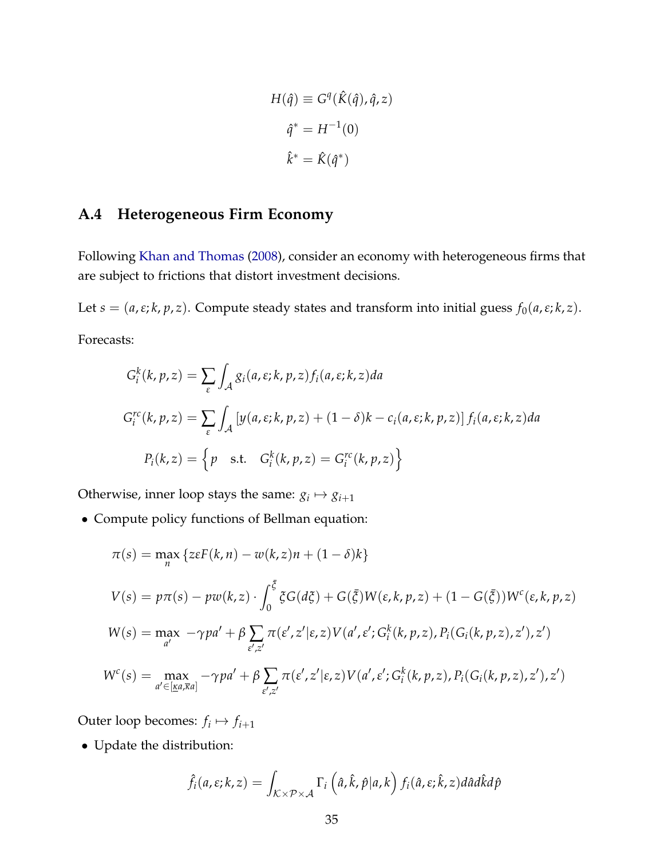$$
H(\hat{q}) \equiv G^{q}(\hat{K}(\hat{q}), \hat{q}, z)
$$

$$
\hat{q}^{*} = H^{-1}(0)
$$

$$
\hat{k}^{*} = \hat{K}(\hat{q}^{*})
$$

### **A.4 Heterogeneous Firm Economy**

Following [Khan and Thomas](#page-28-12) [\(2008\)](#page-28-12), consider an economy with heterogeneous firms that are subject to frictions that distort investment decisions.

Let  $s = (a, \varepsilon; k, p, z)$ . Compute steady states and transform into initial guess  $f_0(a, \varepsilon; k, z)$ . Forecasts:

$$
G_i^k(k, p, z) = \sum_{\varepsilon} \int_{\mathcal{A}} g_i(a, \varepsilon; k, p, z) f_i(a, \varepsilon; k, z) da
$$
  
\n
$$
G_i^{rc}(k, p, z) = \sum_{\varepsilon} \int_{\mathcal{A}} \left[ y(a, \varepsilon; k, p, z) + (1 - \delta)k - c_i(a, \varepsilon; k, p, z) \right] f_i(a, \varepsilon; k, z) da
$$
  
\n
$$
P_i(k, z) = \left\{ p \quad \text{s.t.} \quad G_i^k(k, p, z) = G_i^{rc}(k, p, z) \right\}
$$

Otherwise, inner loop stays the same:  $g_i \mapsto g_{i+1}$ 

• Compute policy functions of Bellman equation:

$$
\pi(s) = \max_{n} \{ z \varepsilon F(k, n) - w(k, z) n + (1 - \delta) k \}
$$
  
\n
$$
V(s) = p \pi(s) - p w(k, z) \cdot \int_{0}^{\overline{\zeta}} \xi G(d\xi) + G(\overline{\zeta}) W(\varepsilon, k, p, z) + (1 - G(\overline{\zeta})) W^{c}(\varepsilon, k, p, z)
$$
  
\n
$$
W(s) = \max_{a'} - \gamma p a' + \beta \sum_{\varepsilon', z'} \pi(\varepsilon', z') \varepsilon, z) V(a', \varepsilon'; G_{i}^{k}(k, p, z), P_{i}(G_{i}(k, p, z), z'), z')
$$
  
\n
$$
W^{c}(s) = \max_{a' \in [\underline{\kappa} a, \overline{\kappa} a]} - \gamma p a' + \beta \sum_{\varepsilon', z'} \pi(\varepsilon', z') \varepsilon, Z) V(a', \varepsilon'; G_{i}^{k}(k, p, z), P_{i}(G_{i}(k, p, z), z'), z')
$$

Outer loop becomes:  $f_i \mapsto f_{i+1}$ 

• Update the distribution:

$$
\hat{f}_i(a,\varepsilon;k,z) = \int_{K \times \mathcal{P} \times \mathcal{A}} \Gamma_i\left(\hat{a},\hat{k},\hat{p}|a,k\right) f_i(\hat{a},\varepsilon;\hat{k},z) d\hat{a} d\hat{k} d\hat{p}
$$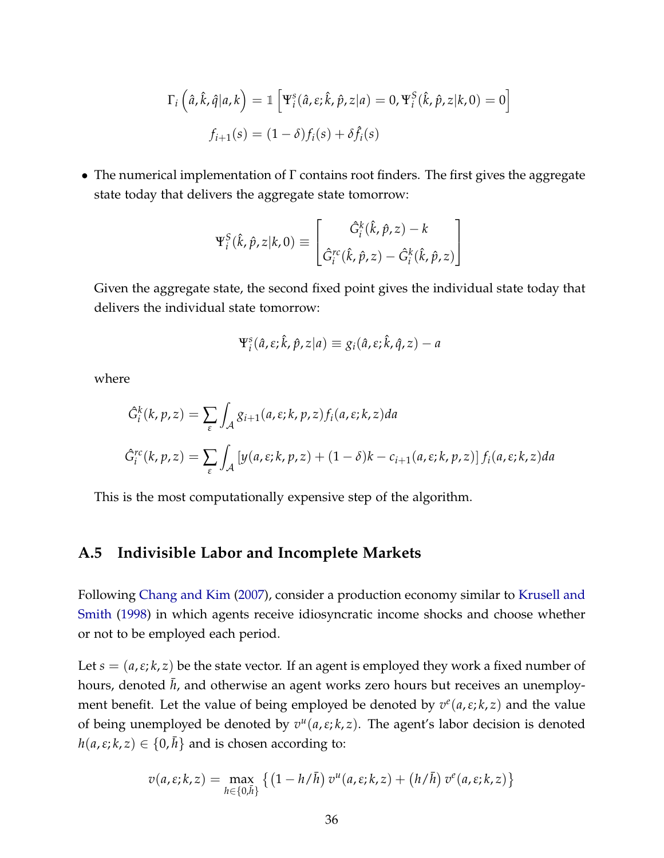$$
\Gamma_i\left(\hat{a}, \hat{k}, \hat{q} | a, k\right) = \mathbb{1}\left[\Psi_i^s(\hat{a}, \varepsilon; \hat{k}, \hat{p}, z | a) = 0, \Psi_i^S(\hat{k}, \hat{p}, z | k, 0) = 0\right]
$$

$$
f_{i+1}(s) = (1 - \delta)f_i(s) + \delta\hat{f}_i(s)
$$

• The numerical implementation of Γ contains root finders. The first gives the aggregate state today that delivers the aggregate state tomorrow:

$$
\Psi_i^S(\hat{k}, \hat{p}, z | k, 0) \equiv \begin{bmatrix} \hat{G}_i^k(\hat{k}, \hat{p}, z) - k \\ \hat{G}_i^{rc}(\hat{k}, \hat{p}, z) - \hat{G}_i^k(\hat{k}, \hat{p}, z) \end{bmatrix}
$$

Given the aggregate state, the second fixed point gives the individual state today that delivers the individual state tomorrow:

$$
\Psi_i^s(\hat{a}, \varepsilon; \hat{k}, \hat{p}, z | a) \equiv g_i(\hat{a}, \varepsilon; \hat{k}, \hat{q}, z) - a
$$

where

$$
\begin{aligned} \hat{G}_i^k(k, p, z) &= \sum_{\varepsilon} \int_{\mathcal{A}} g_{i+1}(a, \varepsilon; k, p, z) f_i(a, \varepsilon; k, z) da \\ \hat{G}_i^{rc}(k, p, z) &= \sum_{\varepsilon} \int_{\mathcal{A}} \left[ y(a, \varepsilon; k, p, z) + (1 - \delta)k - c_{i+1}(a, \varepsilon; k, p, z) \right] f_i(a, \varepsilon; k, z) da \end{aligned}
$$

This is the most computationally expensive step of the algorithm.

### **A.5 Indivisible Labor and Incomplete Markets**

Following [Chang and Kim](#page-27-6) [\(2007\)](#page-27-6), consider a production economy similar to [Krusell and](#page-28-0) [Smith](#page-28-0) [\(1998\)](#page-28-0) in which agents receive idiosyncratic income shocks and choose whether or not to be employed each period.

Let  $s = (a, \varepsilon; k, z)$  be the state vector. If an agent is employed they work a fixed number of hours, denoted *h*, and otherwise an agent works zero hours but receives an unemployment benefit. Let the value of being employed be denoted by  $v^e(a,\varepsilon;k,z)$  and the value of being unemployed be denoted by *v u* (*a*,*ε*; *k*, *z*). The agent's labor decision is denoted  $h(a, \varepsilon; k, z) \in \{0, h\}$  and is chosen according to:

$$
v(a,\varepsilon;k,z)=\max_{h\in\{0,\bar{h}\}}\left\{\left(1-h/\bar{h}\right)v^u(a,\varepsilon;k,z)+\left(h/\bar{h}\right)v^e(a,\varepsilon;k,z)\right\}
$$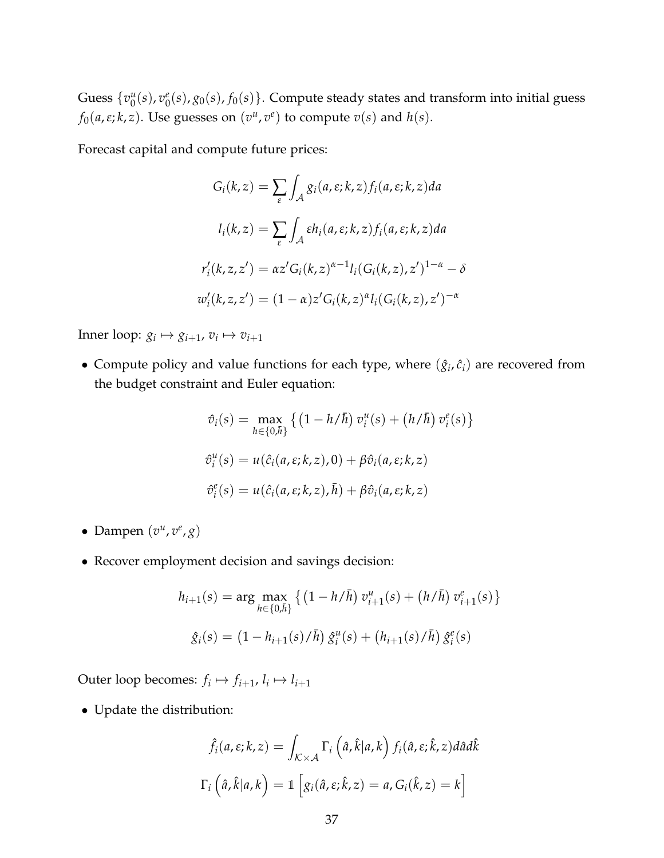Guess  $\{v_0^u\}$  $\frac{u}{0}(s)$ ,  $v_0^e$  $\binom{e}{0}(s)$ ,  $g_0(s)$ ,  $f_0(s)$ }. Compute steady states and transform into initial guess *f*<sub>0</sub>( $a, \varepsilon$ ; $k, z$ ). Use guesses on  $(v^u, v^e)$  to compute  $v(s)$  and  $h(s)$ .

Forecast capital and compute future prices:

$$
G_i(k, z) = \sum_{\varepsilon} \int_{\mathcal{A}} g_i(a, \varepsilon; k, z) f_i(a, \varepsilon; k, z) da
$$

$$
l_i(k, z) = \sum_{\varepsilon} \int_{\mathcal{A}} \varepsilon h_i(a, \varepsilon; k, z) f_i(a, \varepsilon; k, z) da
$$

$$
r'_i(k, z, z') = \alpha z' G_i(k, z)^{\alpha - 1} l_i(G_i(k, z), z')^{1 - \alpha} - \delta
$$

$$
w'_i(k, z, z') = (1 - \alpha) z' G_i(k, z)^{\alpha} l_i(G_i(k, z), z')^{-\alpha}
$$

Inner loop:  $g_i \mapsto g_{i+1}, v_i \mapsto v_{i+1}$ 

• Compute policy and value functions for each type, where  $(\hat{g}_i, \hat{c}_i)$  are recovered from the budget constraint and Euler equation:

$$
\hat{v}_i(s) = \max_{h \in \{0,\bar{h}\}} \left\{ \left(1 - h/\bar{h}\right) v_i^u(s) + \left(h/\bar{h}\right) v_i^e(s) \right\}
$$
  

$$
\hat{v}_i^u(s) = u(\hat{c}_i(a,\varepsilon;k,z),0) + \beta \hat{v}_i(a,\varepsilon;k,z)
$$
  

$$
\hat{v}_i^e(s) = u(\hat{c}_i(a,\varepsilon;k,z),\bar{h}) + \beta \hat{v}_i(a,\varepsilon;k,z)
$$

- Dampen  $(v^u, v^e, g)$
- Recover employment decision and savings decision:

$$
h_{i+1}(s) = \arg \max_{h \in \{0,\bar{h}\}} \left\{ \left(1 - h/\bar{h}\right) v_{i+1}^u(s) + \left(h/\bar{h}\right) v_{i+1}^e(s) \right\}
$$

$$
\hat{g}_i(s) = \left(1 - h_{i+1}(s)/\bar{h}\right) \hat{g}_i^u(s) + \left(h_{i+1}(s)/\bar{h}\right) \hat{g}_i^e(s)
$$

Outer loop becomes:  $f_i \mapsto f_{i+1}, l_i \mapsto l_{i+1}$ 

• Update the distribution:

$$
\hat{f}_i(a,\varepsilon;k,z) = \int_{\mathcal{K}\times\mathcal{A}} \Gamma_i\left(\hat{a},\hat{k}|a,k\right) f_i(\hat{a},\varepsilon;\hat{k},z) d\hat{a} d\hat{k}
$$

$$
\Gamma_i\left(\hat{a},\hat{k}|a,k\right) = \mathbb{1}\left[g_i(\hat{a},\varepsilon;\hat{k},z) = a, G_i(\hat{k},z) = k\right]
$$